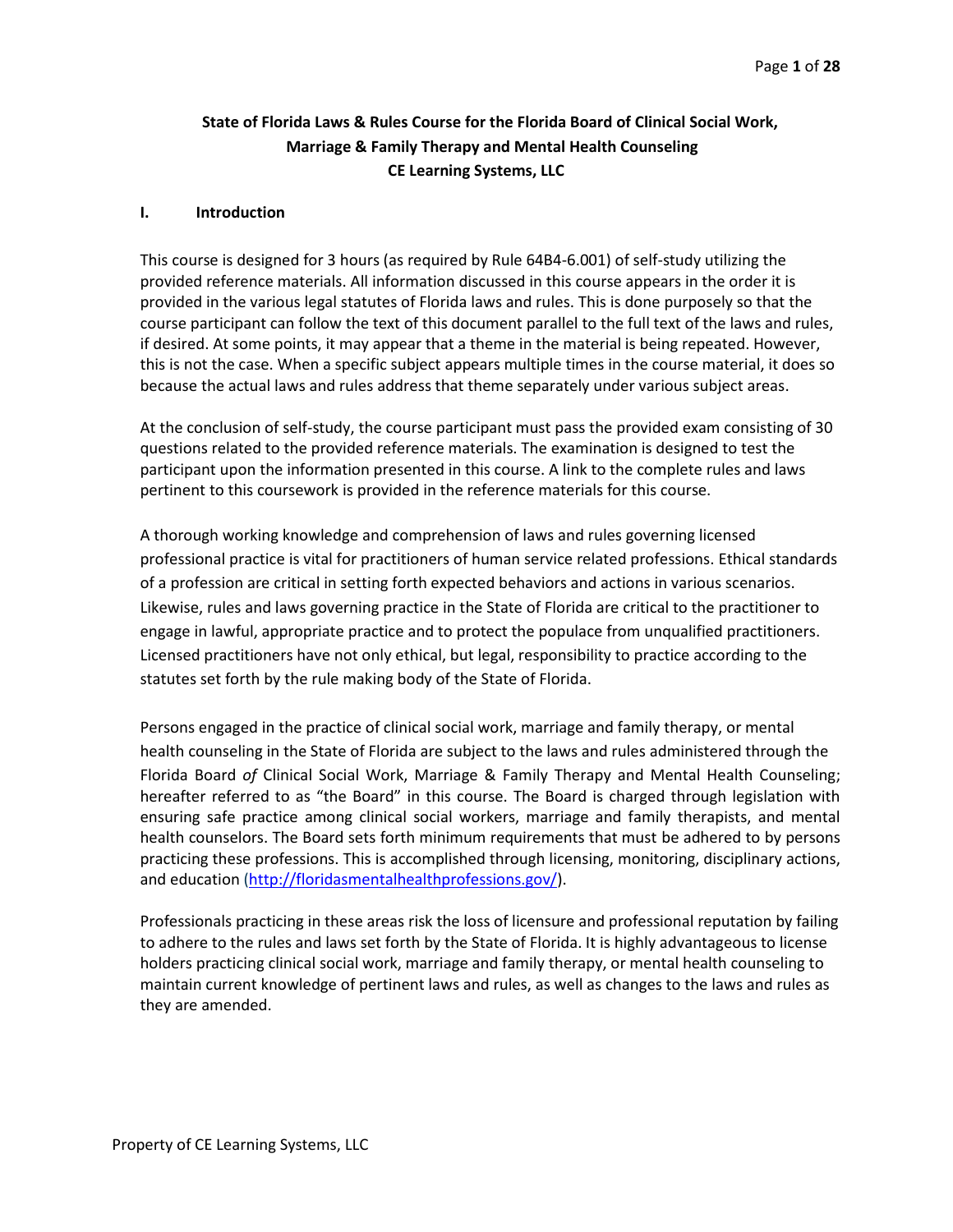# **State of Florida Laws & Rules Course for the Florida Board of Clinical Social Work, Marriage & Family Therapy and Mental Health Counseling CE Learning Systems, LLC**

### **I. Introduction**

This course is designed for 3 hours (as required by Rule 64B4-6.001) of self-study utilizing the provided reference materials. All information discussed in this course appears in the order it is provided in the various legal statutes of Florida laws and rules. This is done purposely so that the course participant can follow the text of this document parallel to the full text of the laws and rules, if desired. At some points, it may appear that a theme in the material is being repeated. However, this is not the case. When a specific subject appears multiple times in the course material, it does so because the actual laws and rules address that theme separately under various subject areas.

At the conclusion of self-study, the course participant must pass the provided exam consisting of 30 questions related to the provided reference materials. The examination is designed to test the participant upon the information presented in this course. A link to the complete rules and laws pertinent to this coursework is provided in the reference materials for this course.

A thorough working knowledge and comprehension of laws and rules governing licensed professional practice is vital for practitioners of human service related professions. Ethical standards of a profession are critical in setting forth expected behaviors and actions in various scenarios. Likewise, rules and laws governing practice in the State of Florida are critical to the practitioner to engage in lawful, appropriate practice and to protect the populace from unqualified practitioners. Licensed practitioners have not only ethical, but legal, responsibility to practice according to the statutes set forth by the rule making body of the State of Florida.

Persons engaged in the practice of clinical social work, marriage and family therapy, or mental health counseling in the State of Florida are subject to the laws and rules administered through the Florida Board *of* Clinical Social Work, Marriage & Family Therapy and Mental Health Counseling; hereafter referred to as "the Board" in this course. The Board is charged through legislation with ensuring safe practice among clinical social workers, marriage and family therapists, and mental health counselors. The Board sets forth minimum requirements that must be adhered to by persons practicing these professions. This is accomplished through licensing, monitoring, disciplinary actions, and education [\(http://floridasmentalhealthprofessions.gov/\)](http://floridasmentalhealthprofessions.gov/).

Professionals practicing in these areas risk the loss of licensure and professional reputation by failing to adhere to the rules and laws set forth by the State of Florida. It is highly advantageous to license holders practicing clinical social work, marriage and family therapy, or mental health counseling to maintain current knowledge of pertinent laws and rules, as well as changes to the laws and rules as they are amended.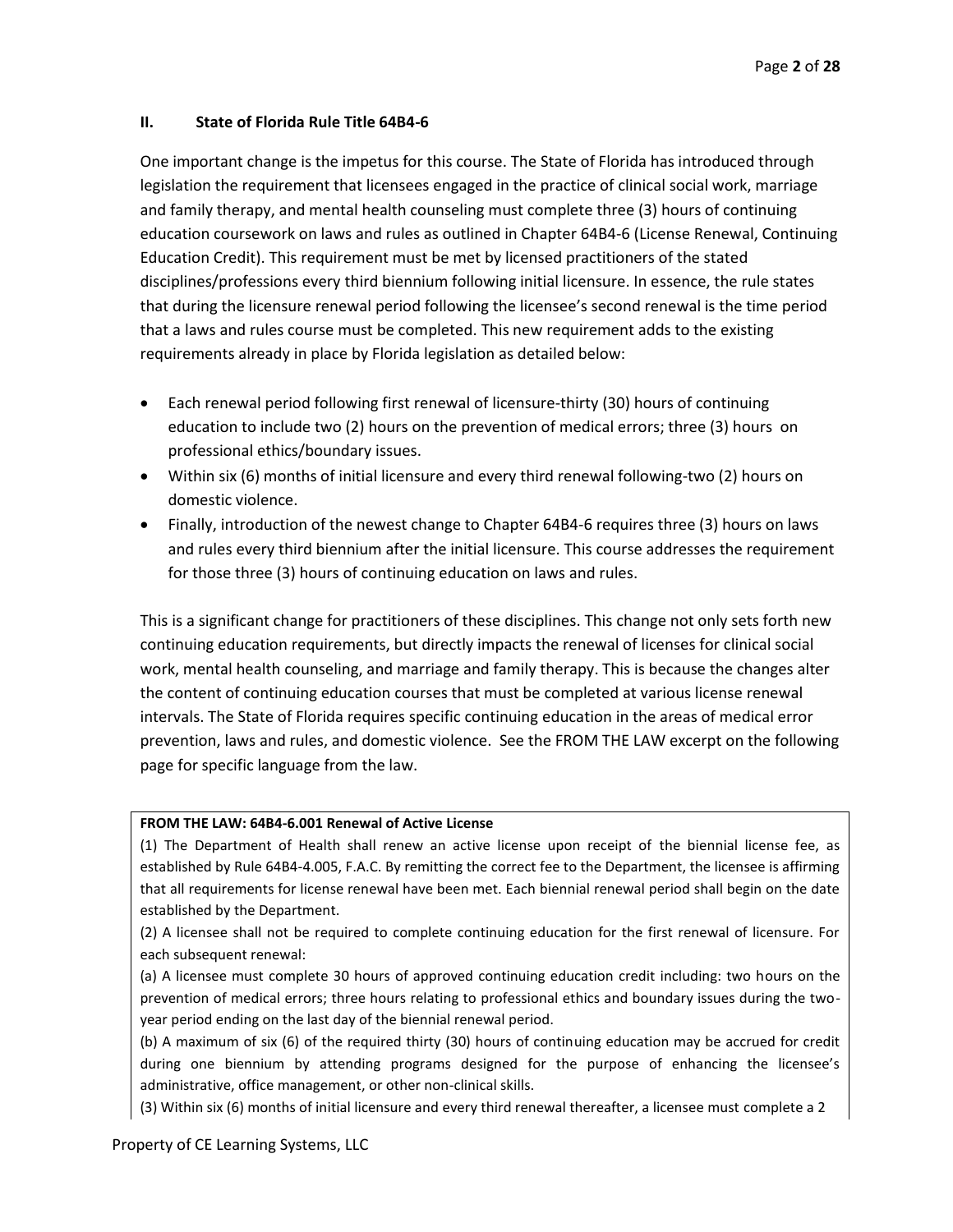## **II. State of Florida Rule Title 64B4-6**

One important change is the impetus for this course. The State of Florida has introduced through legislation the requirement that licensees engaged in the practice of clinical social work, marriage and family therapy, and mental health counseling must complete three (3) hours of continuing education coursework on laws and rules as outlined in Chapter 64B4-6 (License Renewal, Continuing Education Credit). This requirement must be met by licensed practitioners of the stated disciplines/professions every third biennium following initial licensure. In essence, the rule states that during the licensure renewal period following the licensee's second renewal is the time period that a laws and rules course must be completed. This new requirement adds to the existing requirements already in place by Florida legislation as detailed below:

- Each renewal period following first renewal of licensure-thirty (30) hours of continuing education to include two (2) hours on the prevention of medical errors; three (3) hours on professional ethics/boundary issues.
- Within six (6) months of initial licensure and every third renewal following-two (2) hours on domestic violence.
- Finally, introduction of the newest change to Chapter 64B4-6 requires three (3) hours on laws and rules every third biennium after the initial licensure. This course addresses the requirement for those three (3) hours of continuing education on laws and rules.

This is a significant change for practitioners of these disciplines. This change not only sets forth new continuing education requirements, but directly impacts the renewal of licenses for clinical social work, mental health counseling, and marriage and family therapy. This is because the changes alter the content of continuing education courses that must be completed at various license renewal intervals. The State of Florida requires specific continuing education in the areas of medical error prevention, laws and rules, and domestic violence. See the FROM THE LAW excerpt on the following page for specific language from the law.

## **FROM THE LAW: 64B4-6.001 Renewal of Active License**

(1) The Department of Health shall renew an active license upon receipt of the biennial license fee, as established by Rule 64B4-4.005, F.A.C. By remitting the correct fee to the Department, the licensee is affirming that all requirements for license renewal have been met. Each biennial renewal period shall begin on the date established by the Department.

(2) A licensee shall not be required to complete continuing education for the first renewal of licensure. For each subsequent renewal:

(a) A licensee must complete 30 hours of approved continuing education credit including: two hours on the prevention of medical errors; three hours relating to professional ethics and boundary issues during the twoyear period ending on the last day of the biennial renewal period.

(b) A maximum of six (6) of the required thirty (30) hours of continuing education may be accrued for credit during one biennium by attending programs designed for the purpose of enhancing the licensee's administrative, office management, or other non-clinical skills.

(3) Within six (6) months of initial licensure and every third renewal thereafter, a licensee must complete a 2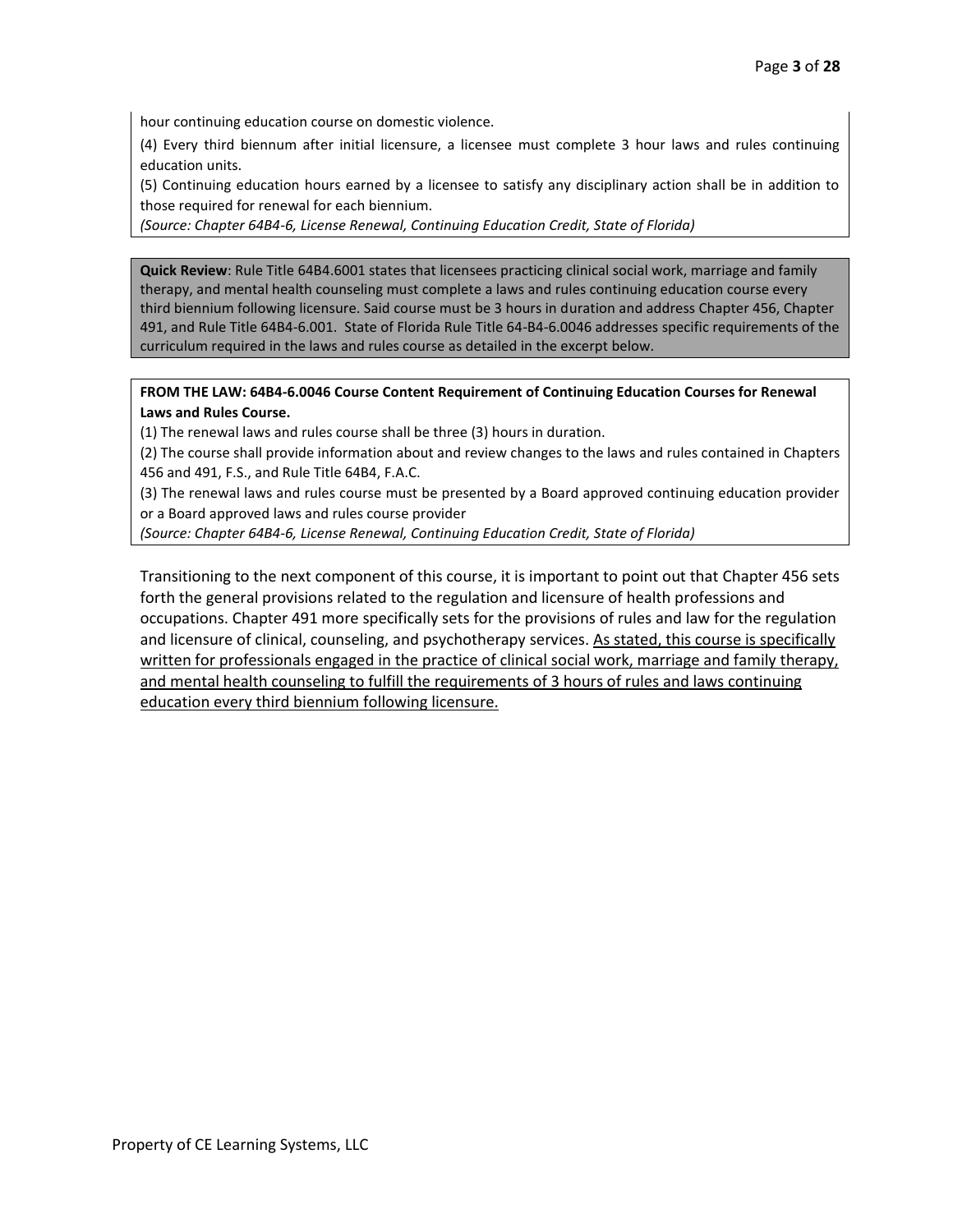hour continuing education course on domestic violence.

(4) Every third biennum after initial licensure, a licensee must complete 3 hour laws and rules continuing education units.

(5) Continuing education hours earned by a licensee to satisfy any disciplinary action shall be in addition to those required for renewal for each biennium.

*(Source: Chapter 64B4-6, License Renewal, Continuing Education Credit, State of Florida)*

**Quick Review**: Rule Title 64B4.6001 states that licensees practicing clinical social work, marriage and family therapy, and mental health counseling must complete a laws and rules continuing education course every third biennium following licensure. Said course must be 3 hours in duration and address Chapter 456, Chapter 491, and Rule Title 64B4-6.001. State of Florida Rule Title 64-B4-6.0046 addresses specific requirements of the curriculum required in the laws and rules course as detailed in the excerpt below.

## **FROM THE LAW: 64B4-6.0046 Course Content Requirement of Continuing Education Courses for Renewal Laws and Rules Course.**

(1) The renewal laws and rules course shall be three (3) hours in duration.

(2) The course shall provide information about and review changes to the laws and rules contained in Chapters 456 and 491, F.S., and Rule Title 64B4, F.A.C.

(3) The renewal laws and rules course must be presented by a Board approved continuing education provider or a Board approved laws and rules course provider

*(Source: Chapter 64B4-6, License Renewal, Continuing Education Credit, State of Florida)*

Transitioning to the next component of this course, it is important to point out that Chapter 456 sets forth the general provisions related to the regulation and licensure of health professions and occupations. Chapter 491 more specifically sets for the provisions of rules and law for the regulation and licensure of clinical, counseling, and psychotherapy services. As stated, this course is specifically written for professionals engaged in the practice of clinical social work, marriage and family therapy, and mental health counseling to fulfill the requirements of 3 hours of rules and laws continuing education every third biennium following licensure.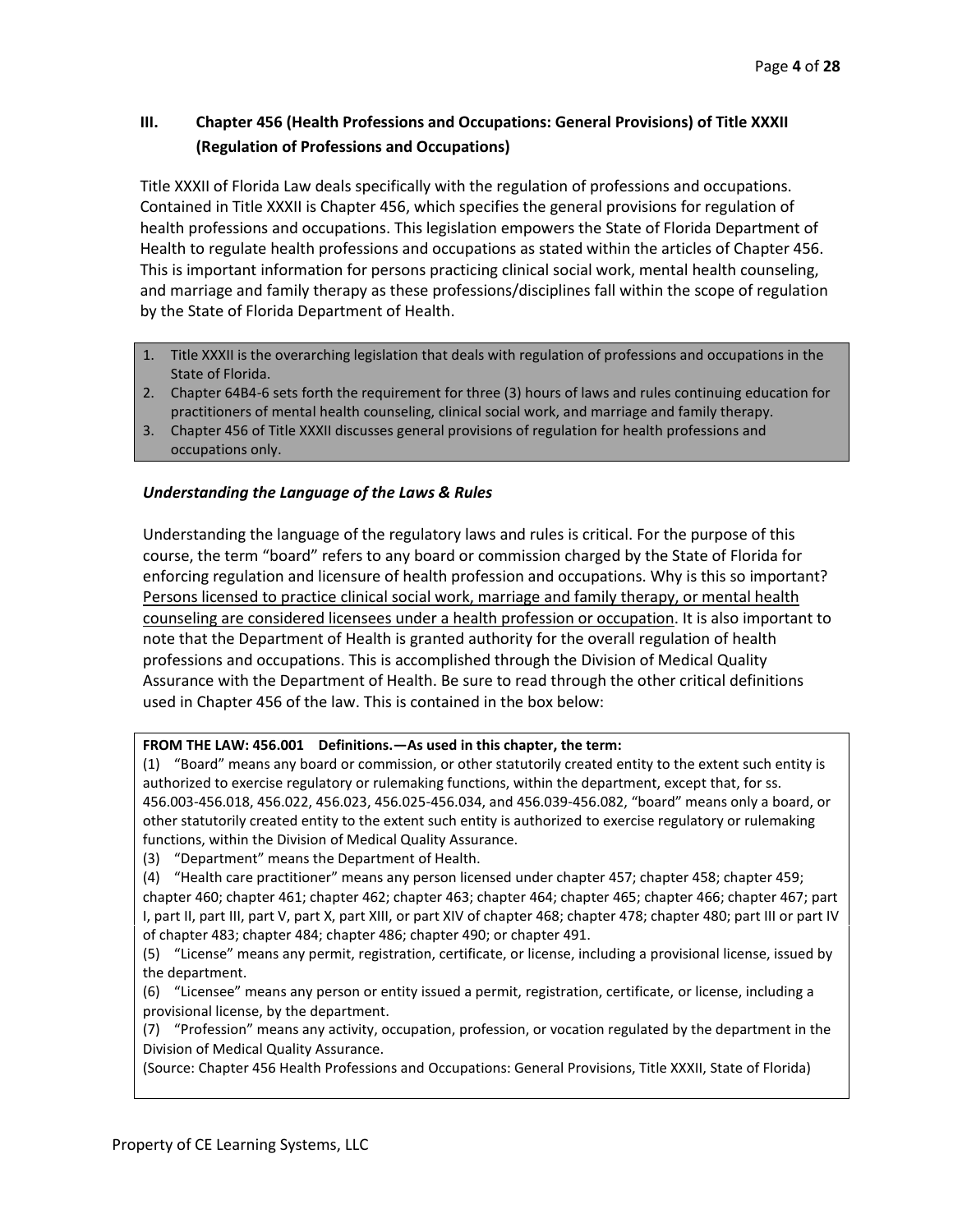# **III. Chapter 456 (Health Professions and Occupations: General Provisions) of Title XXXII (Regulation of Professions and Occupations)**

Title XXXII of Florida Law deals specifically with the regulation of professions and occupations. Contained in Title XXXII is Chapter 456, which specifies the general provisions for regulation of health professions and occupations. This legislation empowers the State of Florida Department of Health to regulate health professions and occupations as stated within the articles of Chapter 456. This is important information for persons practicing clinical social work, mental health counseling, and marriage and family therapy as these professions/disciplines fall within the scope of regulation by the State of Florida Department of Health.

- 1. Title XXXII is the overarching legislation that deals with regulation of professions and occupations in the State of Florida.
- 2. Chapter 64B4-6 sets forth the requirement for three (3) hours of laws and rules continuing education for practitioners of mental health counseling, clinical social work, and marriage and family therapy.
- 3. Chapter 456 of Title XXXII discusses general provisions of regulation for health professions and occupations only.

# *Understanding the Language of the Laws & Rules*

Understanding the language of the regulatory laws and rules is critical. For the purpose of this course, the term "board" refers to any board or commission charged by the State of Florida for enforcing regulation and licensure of health profession and occupations. Why is this so important? Persons licensed to practice clinical social work, marriage and family therapy, or mental health counseling are considered licensees under a health profession or occupation. It is also important to note that the Department of Health is granted authority for the overall regulation of health professions and occupations. This is accomplished through the Division of Medical Quality Assurance with the Department of Health. Be sure to read through the other critical definitions used in Chapter 456 of the law. This is contained in the box below:

## **FROM THE LAW: 456.001 Definitions.—As used in this chapter, the term:**

(1) "Board" means any board or commission, or other statutorily created entity to the extent such entity is authorized to exercise regulatory or rulemaking functions, within the department, except that, for ss. 456.003-456.018, 456.022, 456.023, 456.025-456.034, and 456.039-456.082, "board" means only a board, or other statutorily created entity to the extent such entity is authorized to exercise regulatory or rulemaking functions, within the Division of Medical Quality Assurance.

(3) "Department" means the Department of Health.

(4) "Health care practitioner" means any person licensed under chapter 457; chapter 458; chapter 459; chapter 460; chapter 461; chapter 462; chapter 463; chapter 464; chapter 465; chapter 466; chapter 467; part I, part II, part III, part V, part X, part XIII, or part XIV of chapter 468; chapter 478; chapter 480; part III or part IV of chapter 483; chapter 484; chapter 486; chapter 490; or chapter 491.

(6) "Licensee" means any person or entity issued a permit, registration, certificate, or license, including a provisional license, by the department.

(7) "Profession" means any activity, occupation, profession, or vocation regulated by the department in the Division of Medical Quality Assurance.

(Source: Chapter 456 Health Professions and Occupations: General Provisions, Title XXXII, State of Florida)

<sup>(5)</sup> "License" means any permit, registration, certificate, or license, including a provisional license, issued by the department.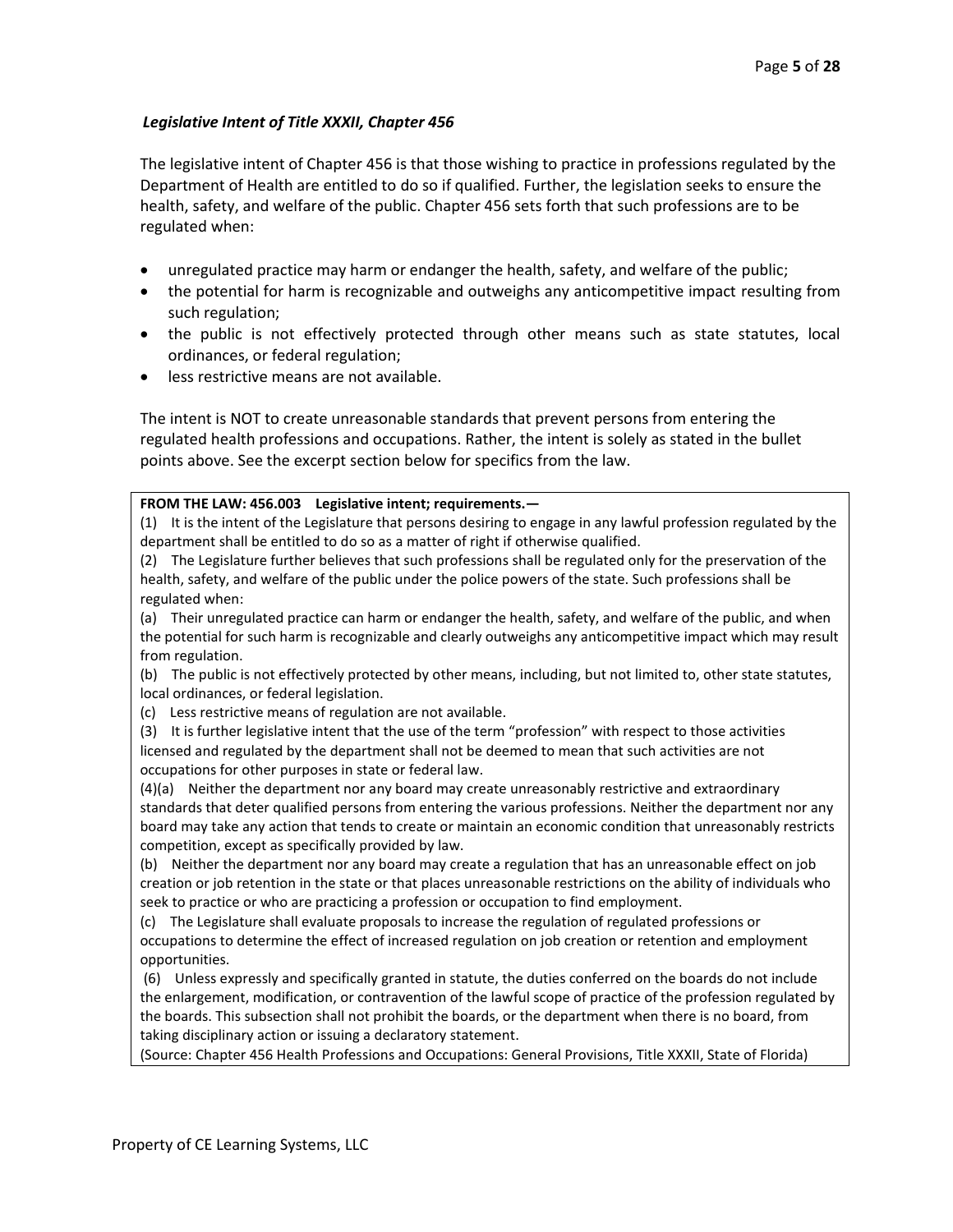# *Legislative Intent of Title XXXII, Chapter 456*

The legislative intent of Chapter 456 is that those wishing to practice in professions regulated by the Department of Health are entitled to do so if qualified. Further, the legislation seeks to ensure the health, safety, and welfare of the public. Chapter 456 sets forth that such professions are to be regulated when:

- unregulated practice may harm or endanger the health, safety, and welfare of the public;
- the potential for harm is recognizable and outweighs any anticompetitive impact resulting from such regulation;
- the public is not effectively protected through other means such as state statutes, local ordinances, or federal regulation;
- less restrictive means are not available.

The intent is NOT to create unreasonable standards that prevent persons from entering the regulated health professions and occupations. Rather, the intent is solely as stated in the bullet points above. See the excerpt section below for specifics from the law.

## **FROM THE LAW: 456.003 Legislative intent; requirements.—**

(1) It is the intent of the Legislature that persons desiring to engage in any lawful profession regulated by the department shall be entitled to do so as a matter of right if otherwise qualified.

(2) The Legislature further believes that such professions shall be regulated only for the preservation of the health, safety, and welfare of the public under the police powers of the state. Such professions shall be regulated when:

(a) Their unregulated practice can harm or endanger the health, safety, and welfare of the public, and when the potential for such harm is recognizable and clearly outweighs any anticompetitive impact which may result from regulation.

(b) The public is not effectively protected by other means, including, but not limited to, other state statutes, local ordinances, or federal legislation.

(c) Less restrictive means of regulation are not available.

(3) It is further legislative intent that the use of the term "profession" with respect to those activities licensed and regulated by the department shall not be deemed to mean that such activities are not occupations for other purposes in state or federal law.

(4)(a) Neither the department nor any board may create unreasonably restrictive and extraordinary standards that deter qualified persons from entering the various professions. Neither the department nor any board may take any action that tends to create or maintain an economic condition that unreasonably restricts competition, except as specifically provided by law.

(b) Neither the department nor any board may create a regulation that has an unreasonable effect on job creation or job retention in the state or that places unreasonable restrictions on the ability of individuals who seek to practice or who are practicing a profession or occupation to find employment.

(c) The Legislature shall evaluate proposals to increase the regulation of regulated professions or

occupations to determine the effect of increased regulation on job creation or retention and employment opportunities.

(6) Unless expressly and specifically granted in statute, the duties conferred on the boards do not include the enlargement, modification, or contravention of the lawful scope of practice of the profession regulated by the boards. This subsection shall not prohibit the boards, or the department when there is no board, from taking disciplinary action or issuing a declaratory statement.

(Source: Chapter 456 Health Professions and Occupations: General Provisions, Title XXXII, State of Florida)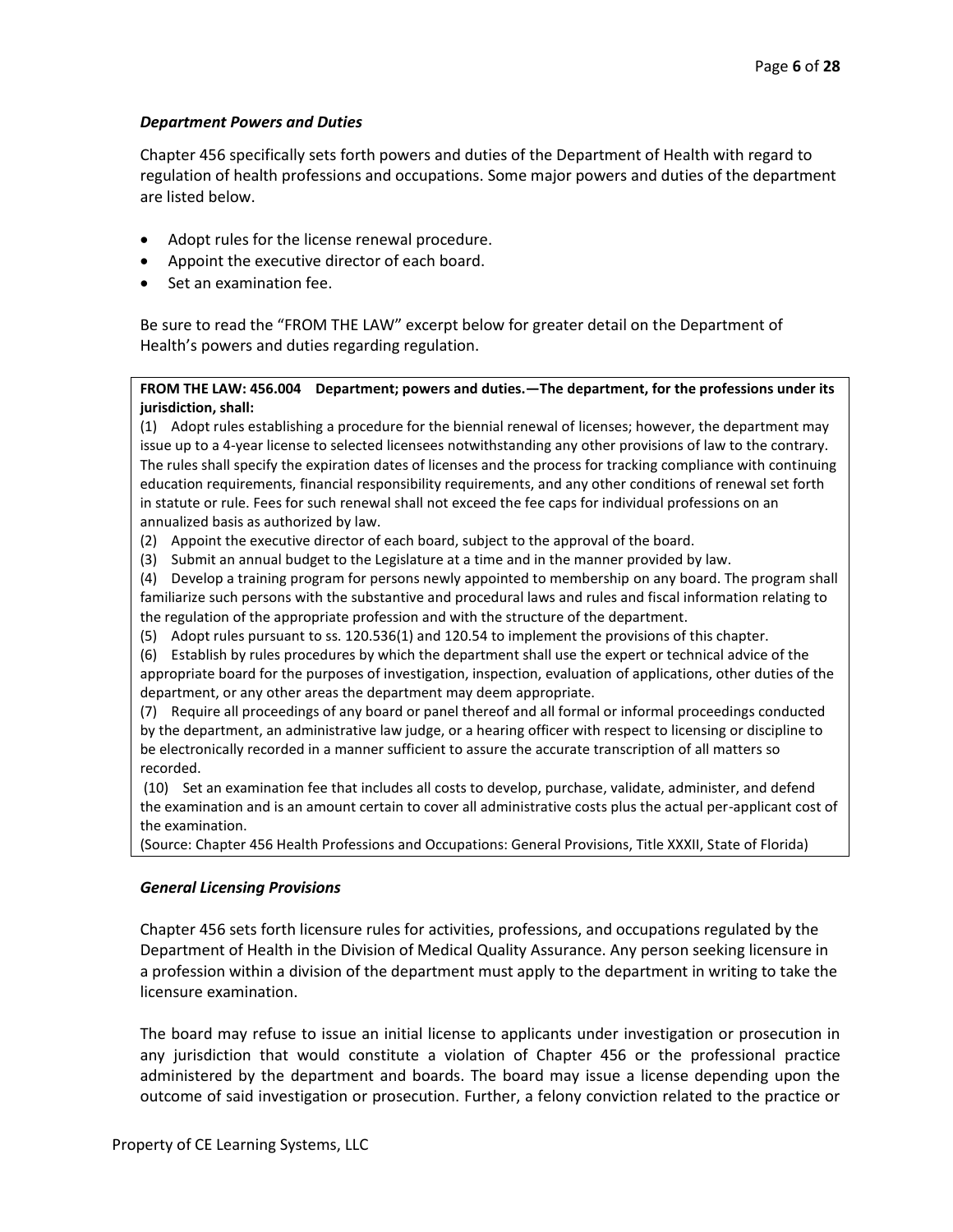## *Department Powers and Duties*

Chapter 456 specifically sets forth powers and duties of the Department of Health with regard to regulation of health professions and occupations. Some major powers and duties of the department are listed below.

- Adopt rules for the license renewal procedure.
- Appoint the executive director of each board.
- Set an examination fee.

Be sure to read the "FROM THE LAW" excerpt below for greater detail on the Department of Health's powers and duties regarding regulation.

## **FROM THE LAW: 456.004 Department; powers and duties.—The department, for the professions under its jurisdiction, shall:**

(1) Adopt rules establishing a procedure for the biennial renewal of licenses; however, the department may issue up to a 4-year license to selected licensees notwithstanding any other provisions of law to the contrary. The rules shall specify the expiration dates of licenses and the process for tracking compliance with continuing education requirements, financial responsibility requirements, and any other conditions of renewal set forth in statute or rule. Fees for such renewal shall not exceed the fee caps for individual professions on an annualized basis as authorized by law.

- (2) Appoint the executive director of each board, subject to the approval of the board.
- (3) Submit an annual budget to the Legislature at a time and in the manner provided by law.

(4) Develop a training program for persons newly appointed to membership on any board. The program shall familiarize such persons with the substantive and procedural laws and rules and fiscal information relating to the regulation of the appropriate profession and with the structure of the department.

(5) Adopt rules pursuant to ss. 120.536(1) and 120.54 to implement the provisions of this chapter.

(6) Establish by rules procedures by which the department shall use the expert or technical advice of the appropriate board for the purposes of investigation, inspection, evaluation of applications, other duties of the department, or any other areas the department may deem appropriate.

(7) Require all proceedings of any board or panel thereof and all formal or informal proceedings conducted by the department, an administrative law judge, or a hearing officer with respect to licensing or discipline to be electronically recorded in a manner sufficient to assure the accurate transcription of all matters so recorded.

(10) Set an examination fee that includes all costs to develop, purchase, validate, administer, and defend the examination and is an amount certain to cover all administrative costs plus the actual per-applicant cost of the examination.

(Source: Chapter 456 Health Professions and Occupations: General Provisions, Title XXXII, State of Florida)

# *General Licensing Provisions*

Chapter 456 sets forth licensure rules for activities, professions, and occupations regulated by the Department of Health in the Division of Medical Quality Assurance. Any person seeking licensure in a profession within a division of the department must apply to the department in writing to take the licensure examination.

The board may refuse to issue an initial license to applicants under investigation or prosecution in any jurisdiction that would constitute a violation of Chapter 456 or the professional practice administered by the department and boards. The board may issue a license depending upon the outcome of said investigation or prosecution. Further, a felony conviction related to the practice or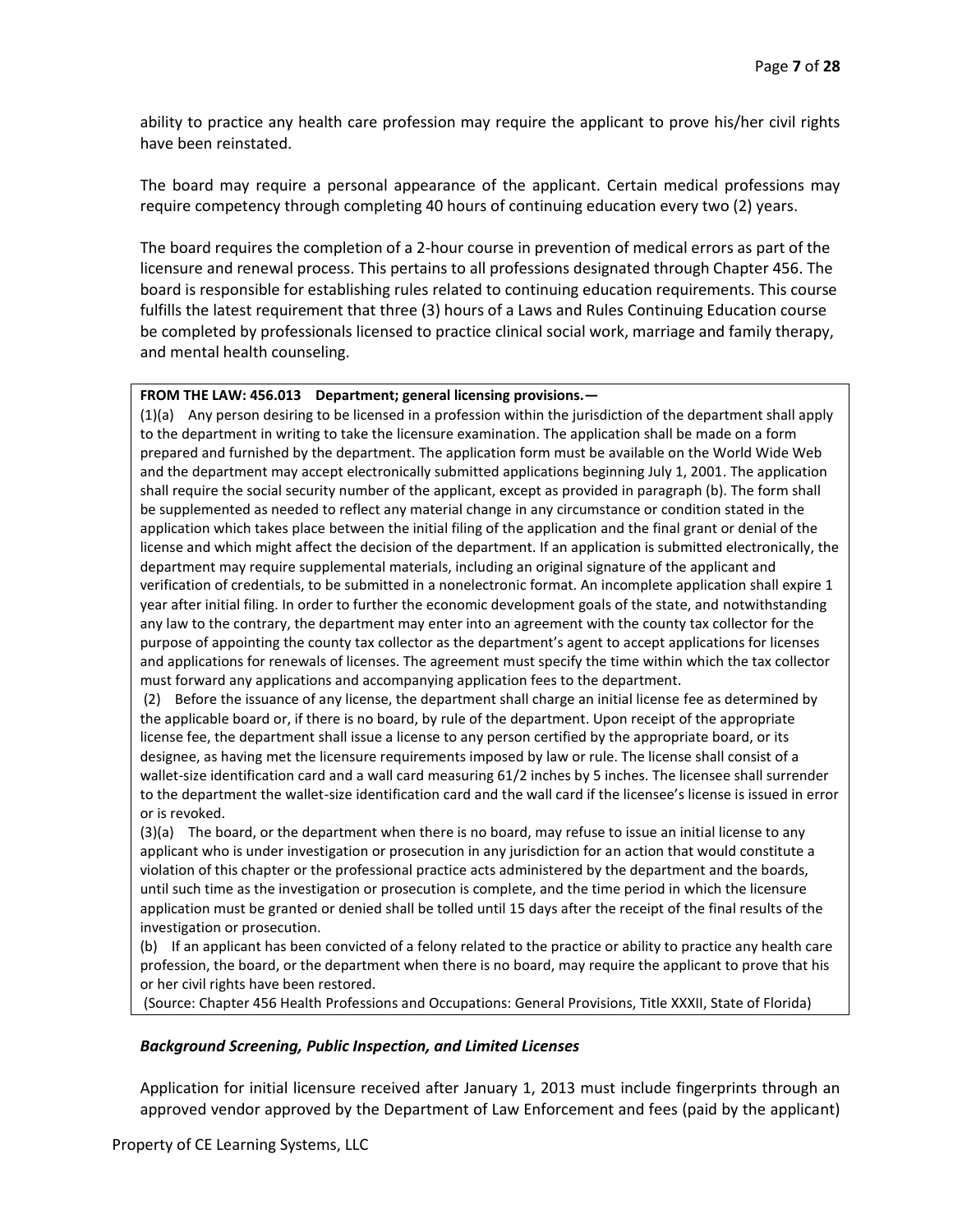ability to practice any health care profession may require the applicant to prove his/her civil rights have been reinstated.

The board may require a personal appearance of the applicant. Certain medical professions may require competency through completing 40 hours of continuing education every two (2) years.

The board requires the completion of a 2-hour course in prevention of medical errors as part of the licensure and renewal process. This pertains to all professions designated through Chapter 456. The board is responsible for establishing rules related to continuing education requirements. This course fulfills the latest requirement that three (3) hours of a Laws and Rules Continuing Education course be completed by professionals licensed to practice clinical social work, marriage and family therapy, and mental health counseling.

### **FROM THE LAW: 456.013 Department; general licensing provisions.—**

(1)(a) Any person desiring to be licensed in a profession within the jurisdiction of the department shall apply to the department in writing to take the licensure examination. The application shall be made on a form prepared and furnished by the department. The application form must be available on the World Wide Web and the department may accept electronically submitted applications beginning July 1, 2001. The application shall require the social security number of the applicant, except as provided in paragraph (b). The form shall be supplemented as needed to reflect any material change in any circumstance or condition stated in the application which takes place between the initial filing of the application and the final grant or denial of the license and which might affect the decision of the department. If an application is submitted electronically, the department may require supplemental materials, including an original signature of the applicant and verification of credentials, to be submitted in a nonelectronic format. An incomplete application shall expire 1 year after initial filing. In order to further the economic development goals of the state, and notwithstanding any law to the contrary, the department may enter into an agreement with the county tax collector for the purpose of appointing the county tax collector as the department's agent to accept applications for licenses and applications for renewals of licenses. The agreement must specify the time within which the tax collector must forward any applications and accompanying application fees to the department.

(2) Before the issuance of any license, the department shall charge an initial license fee as determined by the applicable board or, if there is no board, by rule of the department. Upon receipt of the appropriate license fee, the department shall issue a license to any person certified by the appropriate board, or its designee, as having met the licensure requirements imposed by law or rule. The license shall consist of a wallet-size identification card and a wall card measuring 61/2 inches by 5 inches. The licensee shall surrender to the department the wallet-size identification card and the wall card if the licensee's license is issued in error or is revoked.

(3)(a) The board, or the department when there is no board, may refuse to issue an initial license to any applicant who is under investigation or prosecution in any jurisdiction for an action that would constitute a violation of this chapter or the professional practice acts administered by the department and the boards, until such time as the investigation or prosecution is complete, and the time period in which the licensure application must be granted or denied shall be tolled until 15 days after the receipt of the final results of the investigation or prosecution.

(b) If an applicant has been convicted of a felony related to the practice or ability to practice any health care profession, the board, or the department when there is no board, may require the applicant to prove that his or her civil rights have been restored.

(Source: Chapter 456 Health Professions and Occupations: General Provisions, Title XXXII, State of Florida)

## *Background Screening, Public Inspection, and Limited Licenses*

Application for initial licensure received after January 1, 2013 must include fingerprints through an approved vendor approved by the Department of Law Enforcement and fees (paid by the applicant)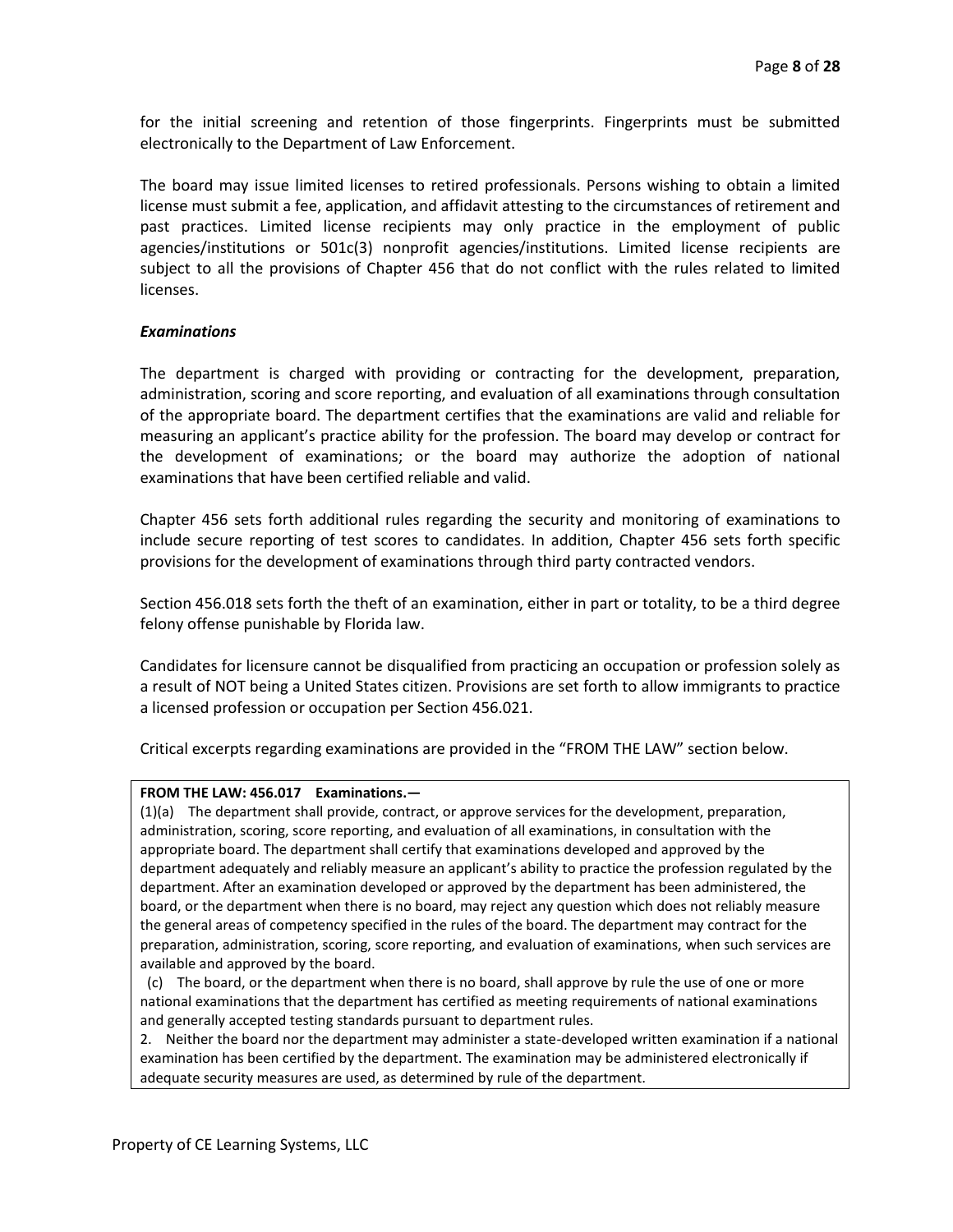for the initial screening and retention of those fingerprints. Fingerprints must be submitted electronically to the Department of Law Enforcement.

The board may issue limited licenses to retired professionals. Persons wishing to obtain a limited license must submit a fee, application, and affidavit attesting to the circumstances of retirement and past practices. Limited license recipients may only practice in the employment of public agencies/institutions or 501c(3) nonprofit agencies/institutions. Limited license recipients are subject to all the provisions of Chapter 456 that do not conflict with the rules related to limited licenses.

## *Examinations*

The department is charged with providing or contracting for the development, preparation, administration, scoring and score reporting, and evaluation of all examinations through consultation of the appropriate board. The department certifies that the examinations are valid and reliable for measuring an applicant's practice ability for the profession. The board may develop or contract for the development of examinations; or the board may authorize the adoption of national examinations that have been certified reliable and valid.

Chapter 456 sets forth additional rules regarding the security and monitoring of examinations to include secure reporting of test scores to candidates. In addition, Chapter 456 sets forth specific provisions for the development of examinations through third party contracted vendors.

Section 456.018 sets forth the theft of an examination, either in part or totality, to be a third degree felony offense punishable by Florida law.

Candidates for licensure cannot be disqualified from practicing an occupation or profession solely as a result of NOT being a United States citizen. Provisions are set forth to allow immigrants to practice a licensed profession or occupation per Section 456.021.

Critical excerpts regarding examinations are provided in the "FROM THE LAW" section below.

## **FROM THE LAW: 456.017 Examinations.—**

(1)(a) The department shall provide, contract, or approve services for the development, preparation, administration, scoring, score reporting, and evaluation of all examinations, in consultation with the appropriate board. The department shall certify that examinations developed and approved by the department adequately and reliably measure an applicant's ability to practice the profession regulated by the department. After an examination developed or approved by the department has been administered, the board, or the department when there is no board, may reject any question which does not reliably measure the general areas of competency specified in the rules of the board. The department may contract for the preparation, administration, scoring, score reporting, and evaluation of examinations, when such services are available and approved by the board.

(c) The board, or the department when there is no board, shall approve by rule the use of one or more national examinations that the department has certified as meeting requirements of national examinations and generally accepted testing standards pursuant to department rules.

2. Neither the board nor the department may administer a state-developed written examination if a national examination has been certified by the department. The examination may be administered electronically if adequate security measures are used, as determined by rule of the department.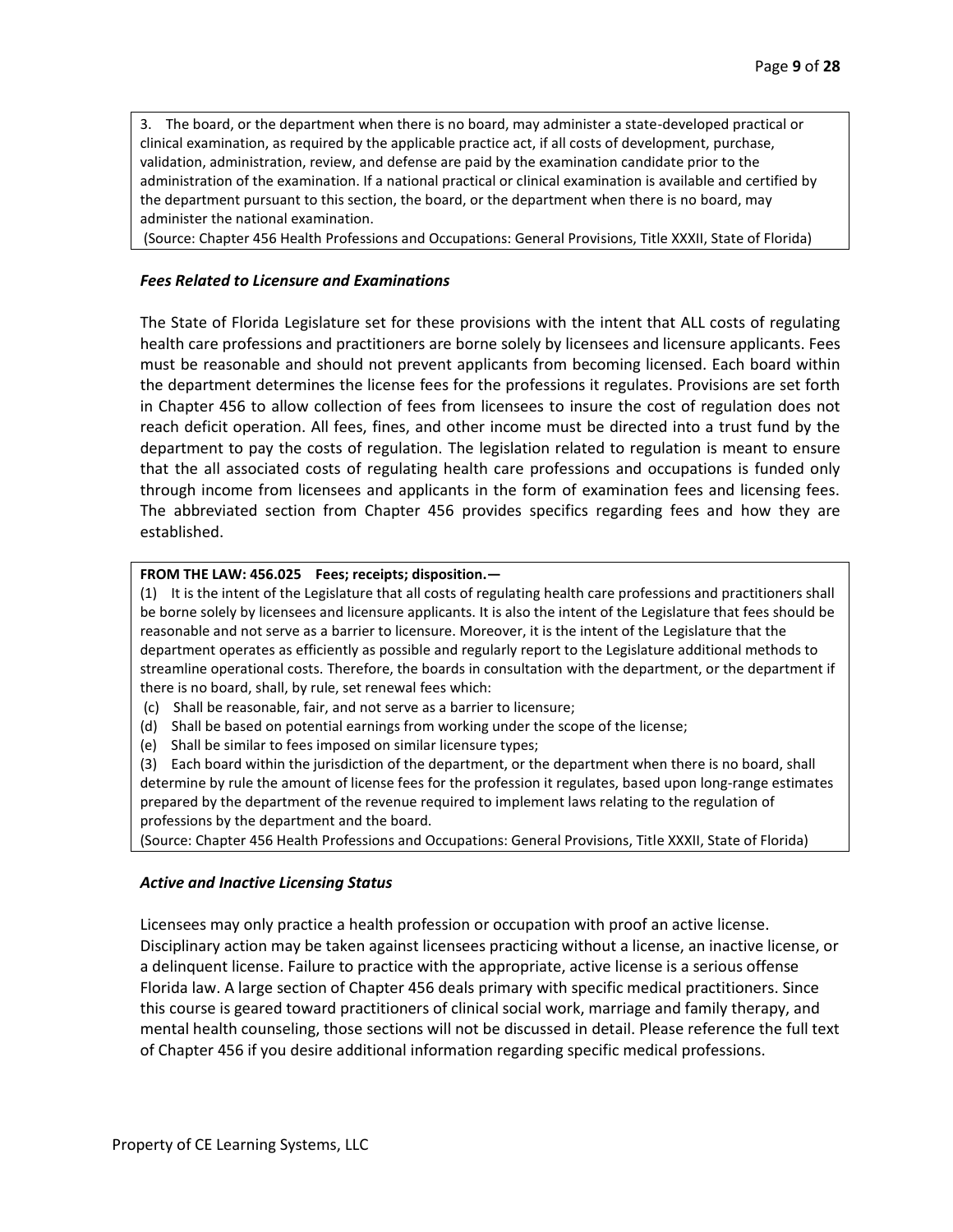3. The board, or the department when there is no board, may administer a state-developed practical or clinical examination, as required by the applicable practice act, if all costs of development, purchase, validation, administration, review, and defense are paid by the examination candidate prior to the administration of the examination. If a national practical or clinical examination is available and certified by the department pursuant to this section, the board, or the department when there is no board, may administer the national examination.

(Source: Chapter 456 Health Professions and Occupations: General Provisions, Title XXXII, State of Florida)

## *Fees Related to Licensure and Examinations*

The State of Florida Legislature set for these provisions with the intent that ALL costs of regulating health care professions and practitioners are borne solely by licensees and licensure applicants. Fees must be reasonable and should not prevent applicants from becoming licensed. Each board within the department determines the license fees for the professions it regulates. Provisions are set forth in Chapter 456 to allow collection of fees from licensees to insure the cost of regulation does not reach deficit operation. All fees, fines, and other income must be directed into a trust fund by the department to pay the costs of regulation. The legislation related to regulation is meant to ensure that the all associated costs of regulating health care professions and occupations is funded only through income from licensees and applicants in the form of examination fees and licensing fees. The abbreviated section from Chapter 456 provides specifics regarding fees and how they are established.

### **FROM THE LAW: 456.025 Fees; receipts; disposition.—**

(1) It is the intent of the Legislature that all costs of regulating health care professions and practitioners shall be borne solely by licensees and licensure applicants. It is also the intent of the Legislature that fees should be reasonable and not serve as a barrier to licensure. Moreover, it is the intent of the Legislature that the department operates as efficiently as possible and regularly report to the Legislature additional methods to streamline operational costs. Therefore, the boards in consultation with the department, or the department if there is no board, shall, by rule, set renewal fees which:

- (c) Shall be reasonable, fair, and not serve as a barrier to licensure;
- (d) Shall be based on potential earnings from working under the scope of the license;
- (e) Shall be similar to fees imposed on similar licensure types;

(3) Each board within the jurisdiction of the department, or the department when there is no board, shall determine by rule the amount of license fees for the profession it regulates, based upon long-range estimates prepared by the department of the revenue required to implement laws relating to the regulation of professions by the department and the board.

(Source: Chapter 456 Health Professions and Occupations: General Provisions, Title XXXII, State of Florida)

#### *Active and Inactive Licensing Status*

Licensees may only practice a health profession or occupation with proof an active license. Disciplinary action may be taken against licensees practicing without a license, an inactive license, or a delinquent license. Failure to practice with the appropriate, active license is a serious offense Florida law. A large section of Chapter 456 deals primary with specific medical practitioners. Since this course is geared toward practitioners of clinical social work, marriage and family therapy, and mental health counseling, those sections will not be discussed in detail. Please reference the full text of Chapter 456 if you desire additional information regarding specific medical professions.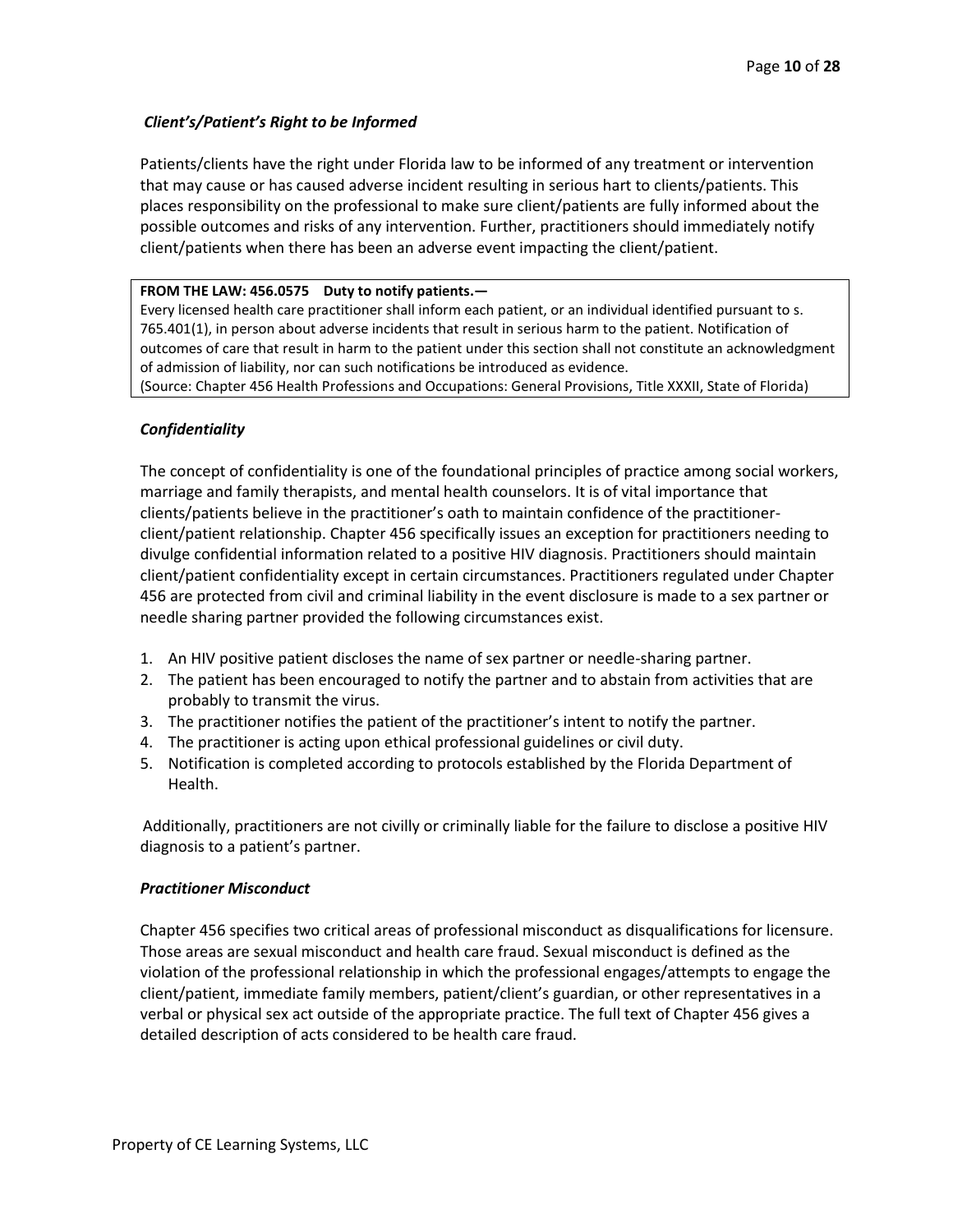# *Client's/Patient's Right to be Informed*

Patients/clients have the right under Florida law to be informed of any treatment or intervention that may cause or has caused adverse incident resulting in serious hart to clients/patients. This places responsibility on the professional to make sure client/patients are fully informed about the possible outcomes and risks of any intervention. Further, practitioners should immediately notify client/patients when there has been an adverse event impacting the client/patient.

## **FROM THE LAW: 456.0575 Duty to notify patients.—**

Every licensed health care practitioner shall inform each patient, or an individual identified pursuant to s. 765.401(1), in person about adverse incidents that result in serious harm to the patient. Notification of outcomes of care that result in harm to the patient under this section shall not constitute an acknowledgment of admission of liability, nor can such notifications be introduced as evidence.

(Source: Chapter 456 Health Professions and Occupations: General Provisions, Title XXXII, State of Florida)

# *Confidentiality*

The concept of confidentiality is one of the foundational principles of practice among social workers, marriage and family therapists, and mental health counselors. It is of vital importance that clients/patients believe in the practitioner's oath to maintain confidence of the practitionerclient/patient relationship. Chapter 456 specifically issues an exception for practitioners needing to divulge confidential information related to a positive HIV diagnosis. Practitioners should maintain client/patient confidentiality except in certain circumstances. Practitioners regulated under Chapter 456 are protected from civil and criminal liability in the event disclosure is made to a sex partner or needle sharing partner provided the following circumstances exist.

- 1. An HIV positive patient discloses the name of sex partner or needle-sharing partner.
- 2. The patient has been encouraged to notify the partner and to abstain from activities that are probably to transmit the virus.
- 3. The practitioner notifies the patient of the practitioner's intent to notify the partner.
- 4. The practitioner is acting upon ethical professional guidelines or civil duty.
- 5. Notification is completed according to protocols established by the Florida Department of Health.

Additionally, practitioners are not civilly or criminally liable for the failure to disclose a positive HIV diagnosis to a patient's partner.

## *Practitioner Misconduct*

Chapter 456 specifies two critical areas of professional misconduct as disqualifications for licensure. Those areas are sexual misconduct and health care fraud. Sexual misconduct is defined as the violation of the professional relationship in which the professional engages/attempts to engage the client/patient, immediate family members, patient/client's guardian, or other representatives in a verbal or physical sex act outside of the appropriate practice. The full text of Chapter 456 gives a detailed description of acts considered to be health care fraud.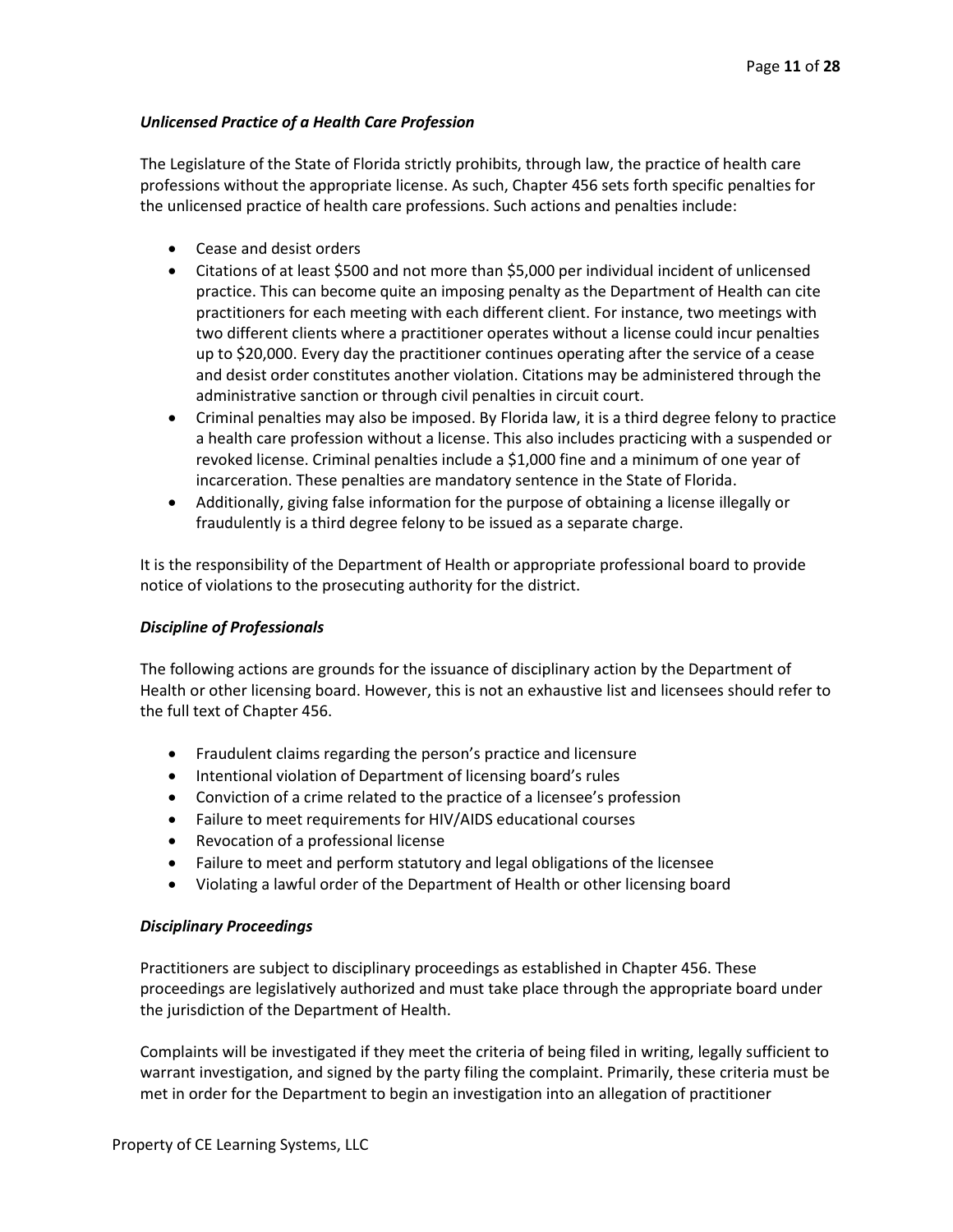# *Unlicensed Practice of a Health Care Profession*

The Legislature of the State of Florida strictly prohibits, through law, the practice of health care professions without the appropriate license. As such, Chapter 456 sets forth specific penalties for the unlicensed practice of health care professions. Such actions and penalties include:

- Cease and desist orders
- Citations of at least \$500 and not more than \$5,000 per individual incident of unlicensed practice. This can become quite an imposing penalty as the Department of Health can cite practitioners for each meeting with each different client. For instance, two meetings with two different clients where a practitioner operates without a license could incur penalties up to \$20,000. Every day the practitioner continues operating after the service of a cease and desist order constitutes another violation. Citations may be administered through the administrative sanction or through civil penalties in circuit court.
- Criminal penalties may also be imposed. By Florida law, it is a third degree felony to practice a health care profession without a license. This also includes practicing with a suspended or revoked license. Criminal penalties include a \$1,000 fine and a minimum of one year of incarceration. These penalties are mandatory sentence in the State of Florida.
- Additionally, giving false information for the purpose of obtaining a license illegally or fraudulently is a third degree felony to be issued as a separate charge.

It is the responsibility of the Department of Health or appropriate professional board to provide notice of violations to the prosecuting authority for the district.

## *Discipline of Professionals*

The following actions are grounds for the issuance of disciplinary action by the Department of Health or other licensing board. However, this is not an exhaustive list and licensees should refer to the full text of Chapter 456.

- Fraudulent claims regarding the person's practice and licensure
- Intentional violation of Department of licensing board's rules
- Conviction of a crime related to the practice of a licensee's profession
- Failure to meet requirements for HIV/AIDS educational courses
- Revocation of a professional license
- Failure to meet and perform statutory and legal obligations of the licensee
- Violating a lawful order of the Department of Health or other licensing board

## *Disciplinary Proceedings*

Practitioners are subject to disciplinary proceedings as established in Chapter 456. These proceedings are legislatively authorized and must take place through the appropriate board under the jurisdiction of the Department of Health.

Complaints will be investigated if they meet the criteria of being filed in writing, legally sufficient to warrant investigation, and signed by the party filing the complaint. Primarily, these criteria must be met in order for the Department to begin an investigation into an allegation of practitioner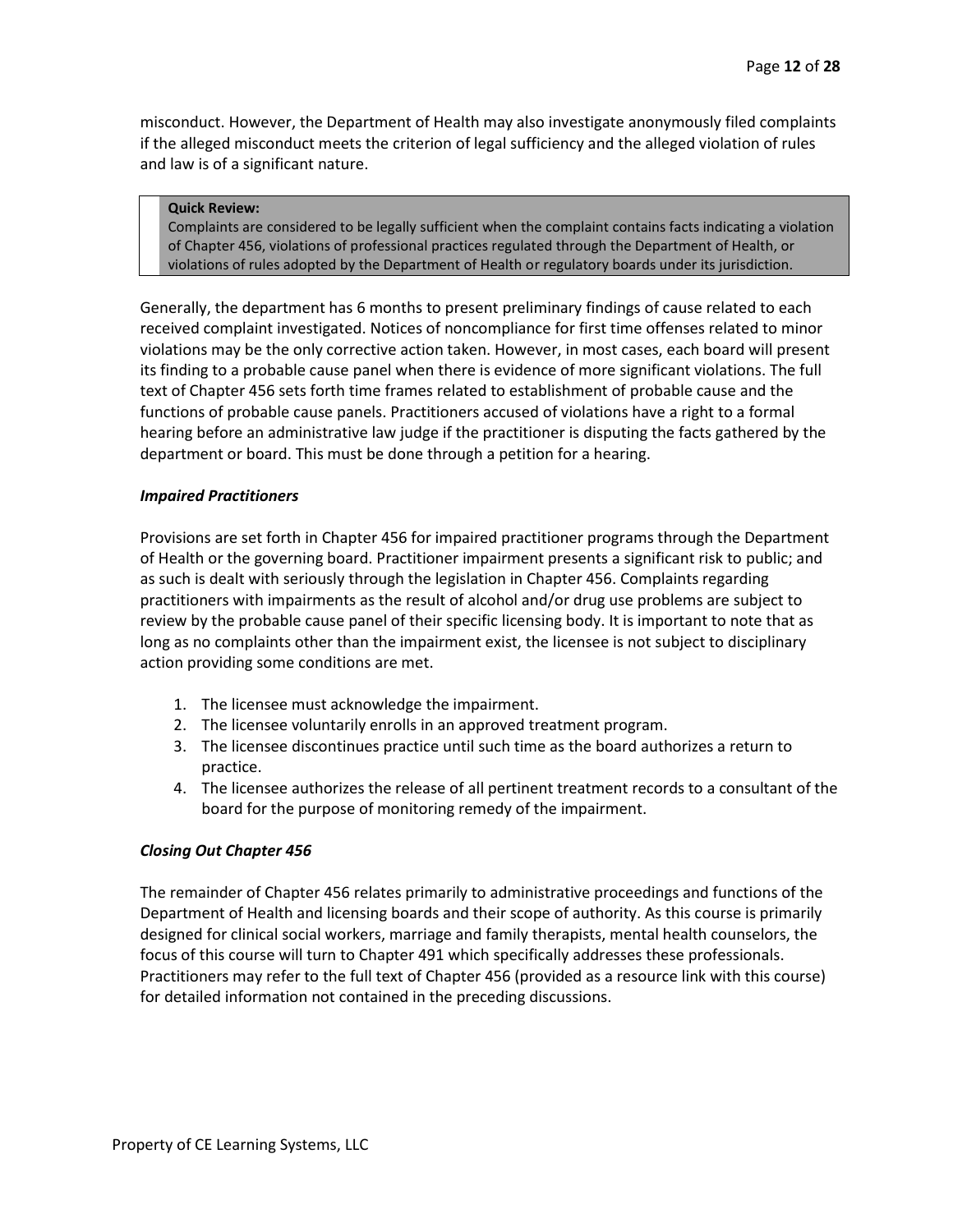misconduct. However, the Department of Health may also investigate anonymously filed complaints if the alleged misconduct meets the criterion of legal sufficiency and the alleged violation of rules and law is of a significant nature.

### **Quick Review:**

Complaints are considered to be legally sufficient when the complaint contains facts indicating a violation of Chapter 456, violations of professional practices regulated through the Department of Health, or violations of rules adopted by the Department of Health or regulatory boards under its jurisdiction.

Generally, the department has 6 months to present preliminary findings of cause related to each received complaint investigated. Notices of noncompliance for first time offenses related to minor violations may be the only corrective action taken. However, in most cases, each board will present its finding to a probable cause panel when there is evidence of more significant violations. The full text of Chapter 456 sets forth time frames related to establishment of probable cause and the functions of probable cause panels. Practitioners accused of violations have a right to a formal hearing before an administrative law judge if the practitioner is disputing the facts gathered by the department or board. This must be done through a petition for a hearing.

## *Impaired Practitioners*

Provisions are set forth in Chapter 456 for impaired practitioner programs through the Department of Health or the governing board. Practitioner impairment presents a significant risk to public; and as such is dealt with seriously through the legislation in Chapter 456. Complaints regarding practitioners with impairments as the result of alcohol and/or drug use problems are subject to review by the probable cause panel of their specific licensing body. It is important to note that as long as no complaints other than the impairment exist, the licensee is not subject to disciplinary action providing some conditions are met.

- 1. The licensee must acknowledge the impairment.
- 2. The licensee voluntarily enrolls in an approved treatment program.
- 3. The licensee discontinues practice until such time as the board authorizes a return to practice.
- 4. The licensee authorizes the release of all pertinent treatment records to a consultant of the board for the purpose of monitoring remedy of the impairment.

## *Closing Out Chapter 456*

The remainder of Chapter 456 relates primarily to administrative proceedings and functions of the Department of Health and licensing boards and their scope of authority. As this course is primarily designed for clinical social workers, marriage and family therapists, mental health counselors, the focus of this course will turn to Chapter 491 which specifically addresses these professionals. Practitioners may refer to the full text of Chapter 456 (provided as a resource link with this course) for detailed information not contained in the preceding discussions.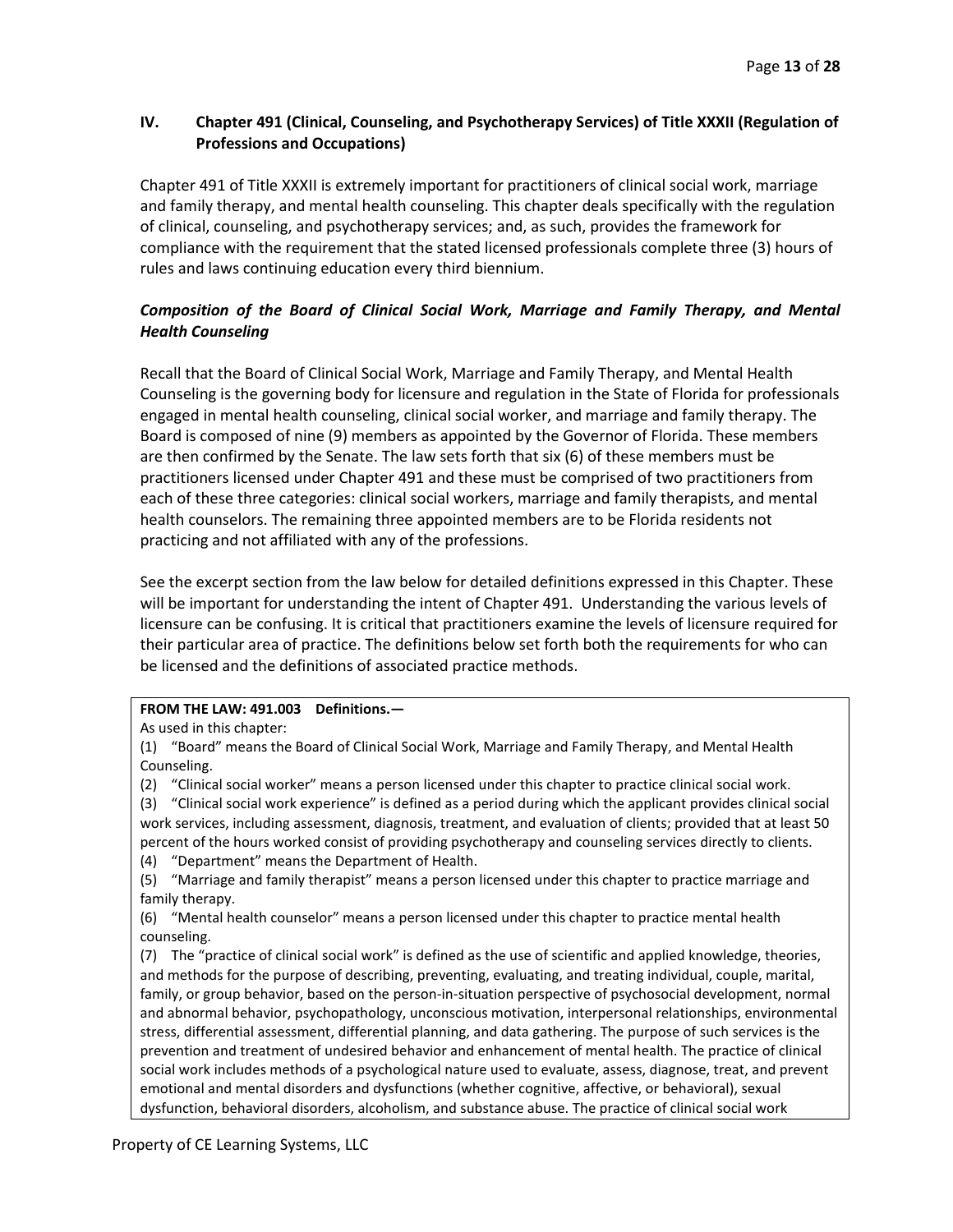# **IV. Chapter 491 (Clinical, Counseling, and Psychotherapy Services) of Title XXXII (Regulation of Professions and Occupations)**

Chapter 491 of Title XXXII is extremely important for practitioners of clinical social work, marriage and family therapy, and mental health counseling. This chapter deals specifically with the regulation of clinical, counseling, and psychotherapy services; and, as such, provides the framework for compliance with the requirement that the stated licensed professionals complete three (3) hours of rules and laws continuing education every third biennium.

# *Composition of the Board of Clinical Social Work, Marriage and Family Therapy, and Mental Health Counseling*

Recall that the Board of Clinical Social Work, Marriage and Family Therapy, and Mental Health Counseling is the governing body for licensure and regulation in the State of Florida for professionals engaged in mental health counseling, clinical social worker, and marriage and family therapy. The Board is composed of nine (9) members as appointed by the Governor of Florida. These members are then confirmed by the Senate. The law sets forth that six (6) of these members must be practitioners licensed under Chapter 491 and these must be comprised of two practitioners from each of these three categories: clinical social workers, marriage and family therapists, and mental health counselors. The remaining three appointed members are to be Florida residents not practicing and not affiliated with any of the professions.

See the excerpt section from the law below for detailed definitions expressed in this Chapter. These will be important for understanding the intent of Chapter 491. Understanding the various levels of licensure can be confusing. It is critical that practitioners examine the levels of licensure required for their particular area of practice. The definitions below set forth both the requirements for who can be licensed and the definitions of associated practice methods.

## **FROM THE LAW: 491.003 Definitions.—**

(1) "Board" means the Board of Clinical Social Work, Marriage and Family Therapy, and Mental Health Counseling.

(2) "Clinical social worker" means a person licensed under this chapter to practice clinical social work.

(3) "Clinical social work experience" is defined as a period during which the applicant provides clinical social work services, including assessment, diagnosis, treatment, and evaluation of clients; provided that at least 50 percent of the hours worked consist of providing psychotherapy and counseling services directly to clients.

(4) "Department" means the Department of Health.

(5) "Marriage and family therapist" means a person licensed under this chapter to practice marriage and family therapy.

(6) "Mental health counselor" means a person licensed under this chapter to practice mental health counseling.

(7) The "practice of clinical social work" is defined as the use of scientific and applied knowledge, theories, and methods for the purpose of describing, preventing, evaluating, and treating individual, couple, marital, family, or group behavior, based on the person-in-situation perspective of psychosocial development, normal and abnormal behavior, psychopathology, unconscious motivation, interpersonal relationships, environmental stress, differential assessment, differential planning, and data gathering. The purpose of such services is the prevention and treatment of undesired behavior and enhancement of mental health. The practice of clinical social work includes methods of a psychological nature used to evaluate, assess, diagnose, treat, and prevent emotional and mental disorders and dysfunctions (whether cognitive, affective, or behavioral), sexual dysfunction, behavioral disorders, alcoholism, and substance abuse. The practice of clinical social work

As used in this chapter: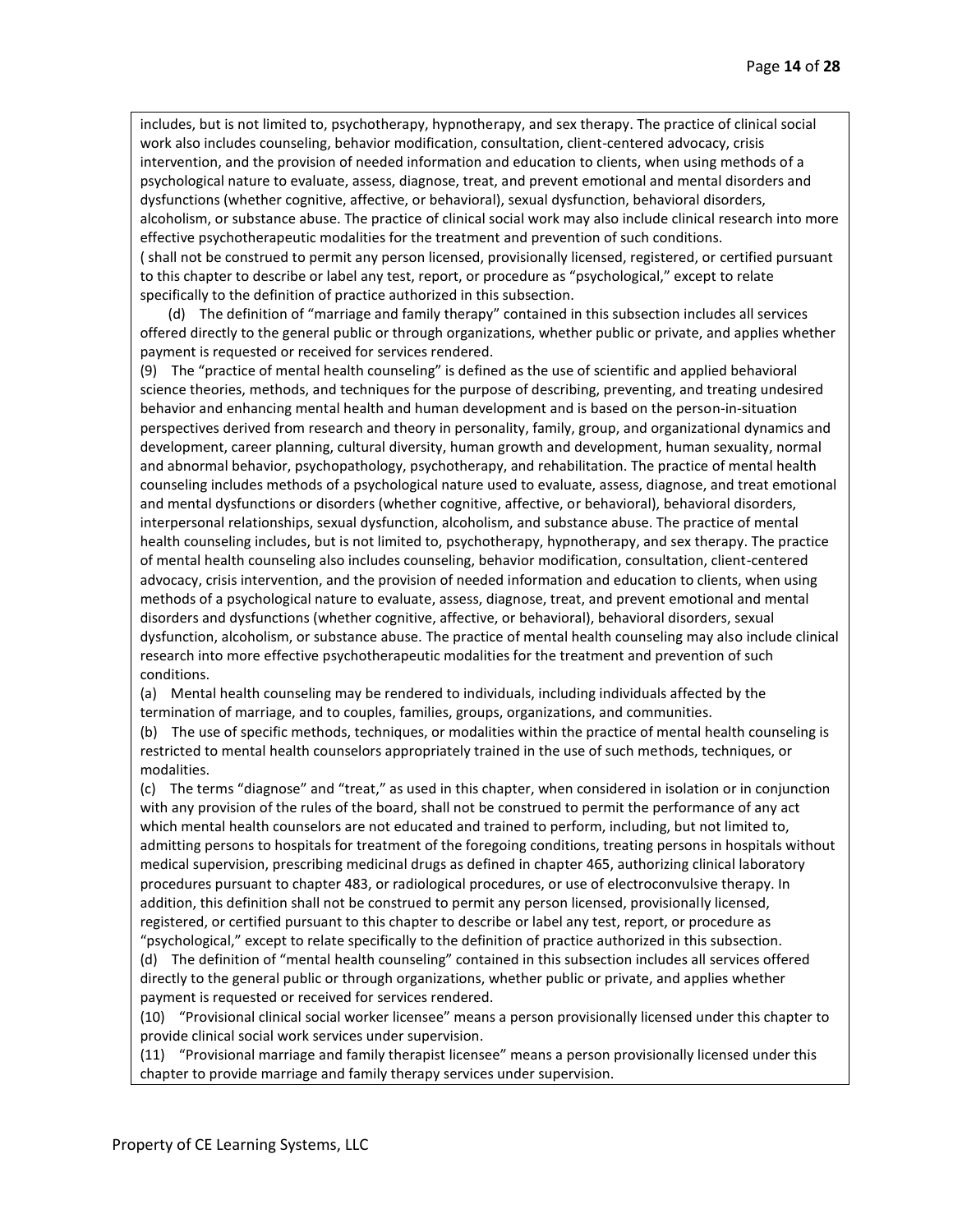includes, but is not limited to, psychotherapy, hypnotherapy, and sex therapy. The practice of clinical social work also includes counseling, behavior modification, consultation, client-centered advocacy, crisis intervention, and the provision of needed information and education to clients, when using methods of a psychological nature to evaluate, assess, diagnose, treat, and prevent emotional and mental disorders and dysfunctions (whether cognitive, affective, or behavioral), sexual dysfunction, behavioral disorders, alcoholism, or substance abuse. The practice of clinical social work may also include clinical research into more effective psychotherapeutic modalities for the treatment and prevention of such conditions. ( shall not be construed to permit any person licensed, provisionally licensed, registered, or certified pursuant to this chapter to describe or label any test, report, or procedure as "psychological," except to relate specifically to the definition of practice authorized in this subsection.

(d) The definition of "marriage and family therapy" contained in this subsection includes all services offered directly to the general public or through organizations, whether public or private, and applies whether payment is requested or received for services rendered.

(9) The "practice of mental health counseling" is defined as the use of scientific and applied behavioral science theories, methods, and techniques for the purpose of describing, preventing, and treating undesired behavior and enhancing mental health and human development and is based on the person-in-situation perspectives derived from research and theory in personality, family, group, and organizational dynamics and development, career planning, cultural diversity, human growth and development, human sexuality, normal and abnormal behavior, psychopathology, psychotherapy, and rehabilitation. The practice of mental health counseling includes methods of a psychological nature used to evaluate, assess, diagnose, and treat emotional and mental dysfunctions or disorders (whether cognitive, affective, or behavioral), behavioral disorders, interpersonal relationships, sexual dysfunction, alcoholism, and substance abuse. The practice of mental health counseling includes, but is not limited to, psychotherapy, hypnotherapy, and sex therapy. The practice of mental health counseling also includes counseling, behavior modification, consultation, client-centered advocacy, crisis intervention, and the provision of needed information and education to clients, when using methods of a psychological nature to evaluate, assess, diagnose, treat, and prevent emotional and mental disorders and dysfunctions (whether cognitive, affective, or behavioral), behavioral disorders, sexual dysfunction, alcoholism, or substance abuse. The practice of mental health counseling may also include clinical research into more effective psychotherapeutic modalities for the treatment and prevention of such conditions.

(a) Mental health counseling may be rendered to individuals, including individuals affected by the termination of marriage, and to couples, families, groups, organizations, and communities.

(b) The use of specific methods, techniques, or modalities within the practice of mental health counseling is restricted to mental health counselors appropriately trained in the use of such methods, techniques, or modalities.

(c) The terms "diagnose" and "treat," as used in this chapter, when considered in isolation or in conjunction with any provision of the rules of the board, shall not be construed to permit the performance of any act which mental health counselors are not educated and trained to perform, including, but not limited to, admitting persons to hospitals for treatment of the foregoing conditions, treating persons in hospitals without medical supervision, prescribing medicinal drugs as defined in chapter 465, authorizing clinical laboratory procedures pursuant to chapter 483, or radiological procedures, or use of electroconvulsive therapy. In addition, this definition shall not be construed to permit any person licensed, provisionally licensed, registered, or certified pursuant to this chapter to describe or label any test, report, or procedure as

"psychological," except to relate specifically to the definition of practice authorized in this subsection. (d) The definition of "mental health counseling" contained in this subsection includes all services offered directly to the general public or through organizations, whether public or private, and applies whether payment is requested or received for services rendered.

(10) "Provisional clinical social worker licensee" means a person provisionally licensed under this chapter to provide clinical social work services under supervision.

(11) "Provisional marriage and family therapist licensee" means a person provisionally licensed under this chapter to provide marriage and family therapy services under supervision.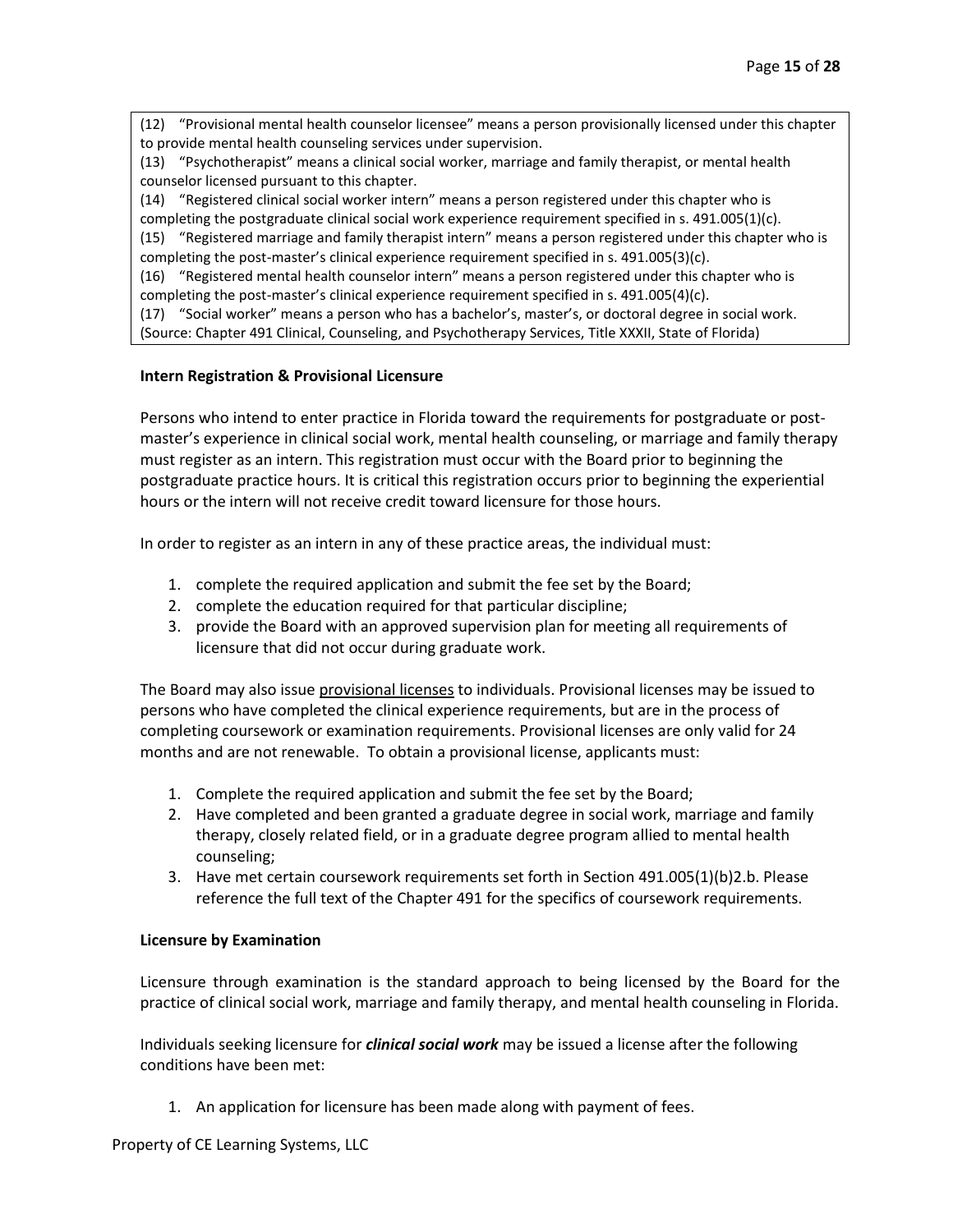(12) "Provisional mental health counselor licensee" means a person provisionally licensed under this chapter to provide mental health counseling services under supervision.

(13) "Psychotherapist" means a clinical social worker, marriage and family therapist, or mental health counselor licensed pursuant to this chapter.

(14) "Registered clinical social worker intern" means a person registered under this chapter who is completing the postgraduate clinical social work experience requirement specified in s. 491.005(1)(c).

(15) "Registered marriage and family therapist intern" means a person registered under this chapter who is completing the post-master's clinical experience requirement specified in s. 491.005(3)(c).

(16) "Registered mental health counselor intern" means a person registered under this chapter who is completing the post-master's clinical experience requirement specified in s. 491.005(4)(c).

(17) "Social worker" means a person who has a bachelor's, master's, or doctoral degree in social work.

(Source: Chapter 491 Clinical, Counseling, and Psychotherapy Services, Title XXXII, State of Florida)

## **Intern Registration & Provisional Licensure**

Persons who intend to enter practice in Florida toward the requirements for postgraduate or postmaster's experience in clinical social work, mental health counseling, or marriage and family therapy must register as an intern. This registration must occur with the Board prior to beginning the postgraduate practice hours. It is critical this registration occurs prior to beginning the experiential hours or the intern will not receive credit toward licensure for those hours.

In order to register as an intern in any of these practice areas, the individual must:

- 1. complete the required application and submit the fee set by the Board;
- 2. complete the education required for that particular discipline;
- 3. provide the Board with an approved supervision plan for meeting all requirements of licensure that did not occur during graduate work.

The Board may also issue provisional licenses to individuals. Provisional licenses may be issued to persons who have completed the clinical experience requirements, but are in the process of completing coursework or examination requirements. Provisional licenses are only valid for 24 months and are not renewable. To obtain a provisional license, applicants must:

- 1. Complete the required application and submit the fee set by the Board;
- 2. Have completed and been granted a graduate degree in social work, marriage and family therapy, closely related field, or in a graduate degree program allied to mental health counseling;
- 3. Have met certain coursework requirements set forth in Section 491.005(1)(b)2.b. Please reference the full text of the Chapter 491 for the specifics of coursework requirements.

# **Licensure by Examination**

Licensure through examination is the standard approach to being licensed by the Board for the practice of clinical social work, marriage and family therapy, and mental health counseling in Florida.

Individuals seeking licensure for *clinical social work* may be issued a license after the following conditions have been met:

1. An application for licensure has been made along with payment of fees.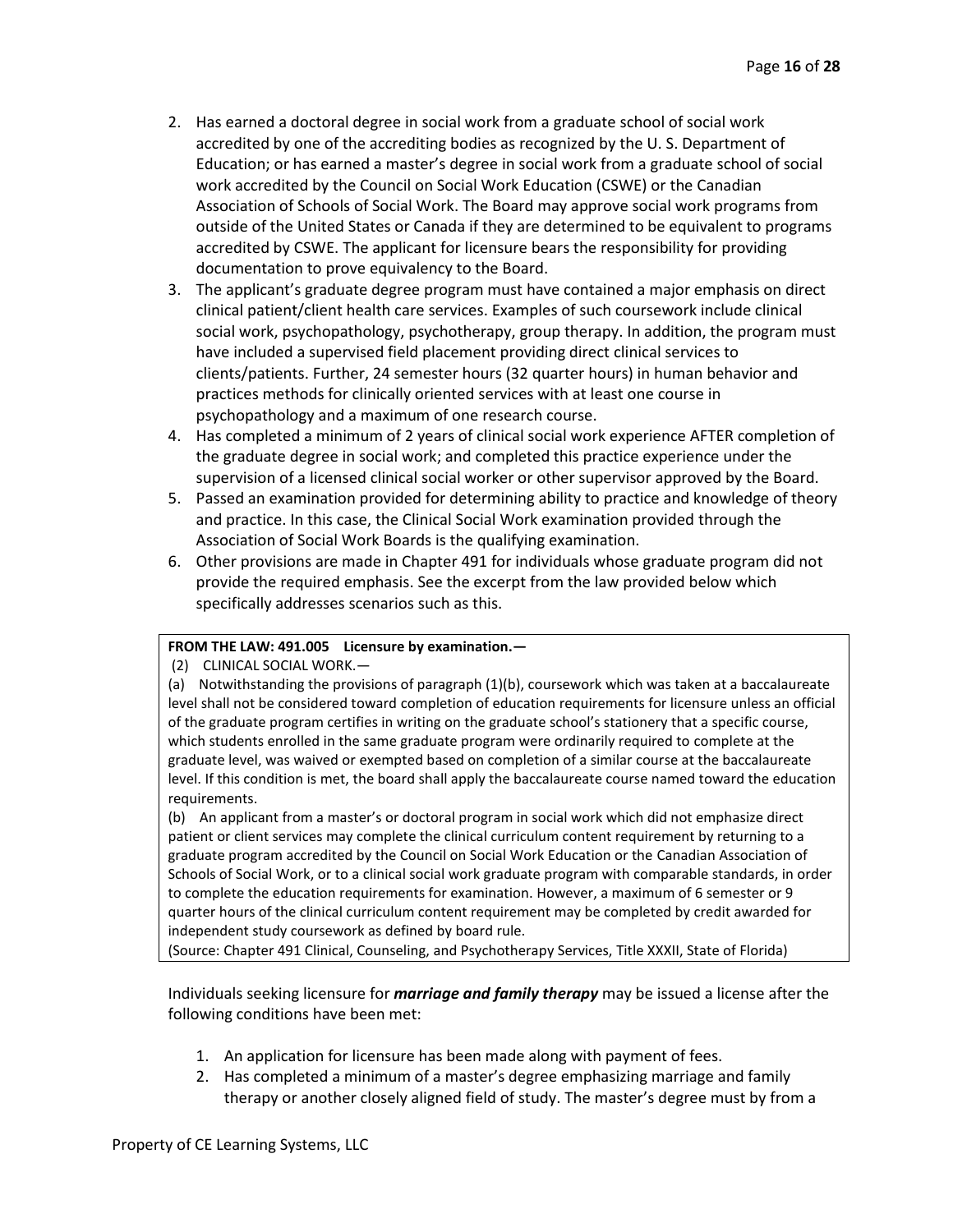- 2. Has earned a doctoral degree in social work from a graduate school of social work accredited by one of the accrediting bodies as recognized by the U. S. Department of Education; or has earned a master's degree in social work from a graduate school of social work accredited by the Council on Social Work Education (CSWE) or the Canadian Association of Schools of Social Work. The Board may approve social work programs from outside of the United States or Canada if they are determined to be equivalent to programs accredited by CSWE. The applicant for licensure bears the responsibility for providing documentation to prove equivalency to the Board.
- 3. The applicant's graduate degree program must have contained a major emphasis on direct clinical patient/client health care services. Examples of such coursework include clinical social work, psychopathology, psychotherapy, group therapy. In addition, the program must have included a supervised field placement providing direct clinical services to clients/patients. Further, 24 semester hours (32 quarter hours) in human behavior and practices methods for clinically oriented services with at least one course in psychopathology and a maximum of one research course.
- 4. Has completed a minimum of 2 years of clinical social work experience AFTER completion of the graduate degree in social work; and completed this practice experience under the supervision of a licensed clinical social worker or other supervisor approved by the Board.
- 5. Passed an examination provided for determining ability to practice and knowledge of theory and practice. In this case, the Clinical Social Work examination provided through the Association of Social Work Boards is the qualifying examination.
- 6. Other provisions are made in Chapter 491 for individuals whose graduate program did not provide the required emphasis. See the excerpt from the law provided below which specifically addresses scenarios such as this.

## **FROM THE LAW: 491.005 Licensure by examination.—**

(2) CLINICAL SOCIAL WORK.—

(a) Notwithstanding the provisions of paragraph (1)(b), coursework which was taken at a baccalaureate level shall not be considered toward completion of education requirements for licensure unless an official of the graduate program certifies in writing on the graduate school's stationery that a specific course, which students enrolled in the same graduate program were ordinarily required to complete at the graduate level, was waived or exempted based on completion of a similar course at the baccalaureate level. If this condition is met, the board shall apply the baccalaureate course named toward the education requirements.

(b) An applicant from a master's or doctoral program in social work which did not emphasize direct patient or client services may complete the clinical curriculum content requirement by returning to a graduate program accredited by the Council on Social Work Education or the Canadian Association of Schools of Social Work, or to a clinical social work graduate program with comparable standards, in order to complete the education requirements for examination. However, a maximum of 6 semester or 9 quarter hours of the clinical curriculum content requirement may be completed by credit awarded for independent study coursework as defined by board rule.

(Source: Chapter 491 Clinical, Counseling, and Psychotherapy Services, Title XXXII, State of Florida)

Individuals seeking licensure for *marriage and family therapy* may be issued a license after the following conditions have been met:

- 1. An application for licensure has been made along with payment of fees.
- 2. Has completed a minimum of a master's degree emphasizing marriage and family therapy or another closely aligned field of study. The master's degree must by from a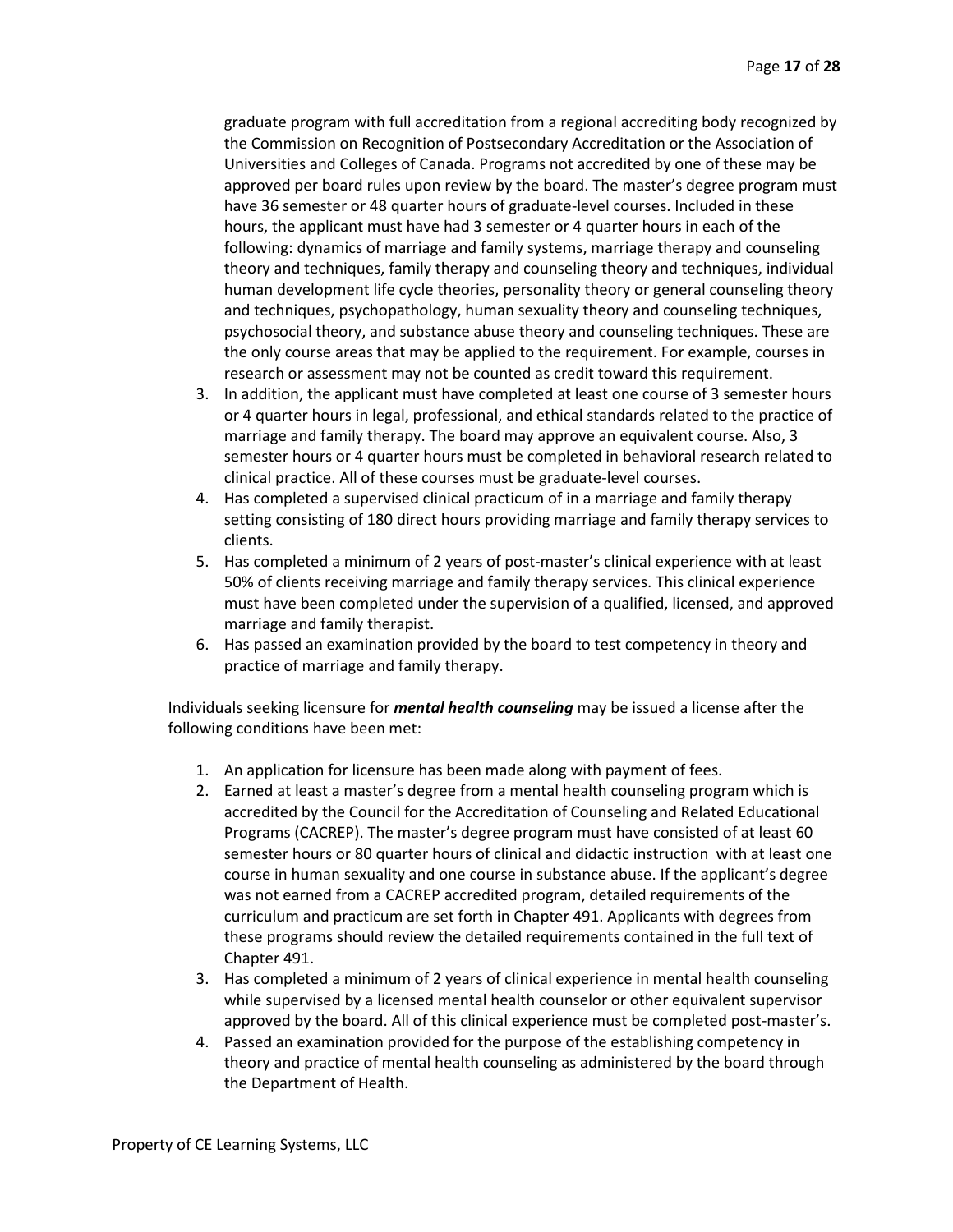graduate program with full accreditation from a regional accrediting body recognized by the Commission on Recognition of Postsecondary Accreditation or the Association of Universities and Colleges of Canada. Programs not accredited by one of these may be approved per board rules upon review by the board. The master's degree program must have 36 semester or 48 quarter hours of graduate-level courses. Included in these hours, the applicant must have had 3 semester or 4 quarter hours in each of the following: dynamics of marriage and family systems, marriage therapy and counseling theory and techniques, family therapy and counseling theory and techniques, individual human development life cycle theories, personality theory or general counseling theory and techniques, psychopathology, human sexuality theory and counseling techniques, psychosocial theory, and substance abuse theory and counseling techniques. These are the only course areas that may be applied to the requirement. For example, courses in research or assessment may not be counted as credit toward this requirement.

- 3. In addition, the applicant must have completed at least one course of 3 semester hours or 4 quarter hours in legal, professional, and ethical standards related to the practice of marriage and family therapy. The board may approve an equivalent course. Also, 3 semester hours or 4 quarter hours must be completed in behavioral research related to clinical practice. All of these courses must be graduate-level courses.
- 4. Has completed a supervised clinical practicum of in a marriage and family therapy setting consisting of 180 direct hours providing marriage and family therapy services to clients.
- 5. Has completed a minimum of 2 years of post-master's clinical experience with at least 50% of clients receiving marriage and family therapy services. This clinical experience must have been completed under the supervision of a qualified, licensed, and approved marriage and family therapist.
- 6. Has passed an examination provided by the board to test competency in theory and practice of marriage and family therapy.

Individuals seeking licensure for *mental health counseling* may be issued a license after the following conditions have been met:

- 1. An application for licensure has been made along with payment of fees.
- 2. Earned at least a master's degree from a mental health counseling program which is accredited by the Council for the Accreditation of Counseling and Related Educational Programs (CACREP). The master's degree program must have consisted of at least 60 semester hours or 80 quarter hours of clinical and didactic instruction with at least one course in human sexuality and one course in substance abuse. If the applicant's degree was not earned from a CACREP accredited program, detailed requirements of the curriculum and practicum are set forth in Chapter 491. Applicants with degrees from these programs should review the detailed requirements contained in the full text of Chapter 491.
- 3. Has completed a minimum of 2 years of clinical experience in mental health counseling while supervised by a licensed mental health counselor or other equivalent supervisor approved by the board. All of this clinical experience must be completed post-master's.
- 4. Passed an examination provided for the purpose of the establishing competency in theory and practice of mental health counseling as administered by the board through the Department of Health.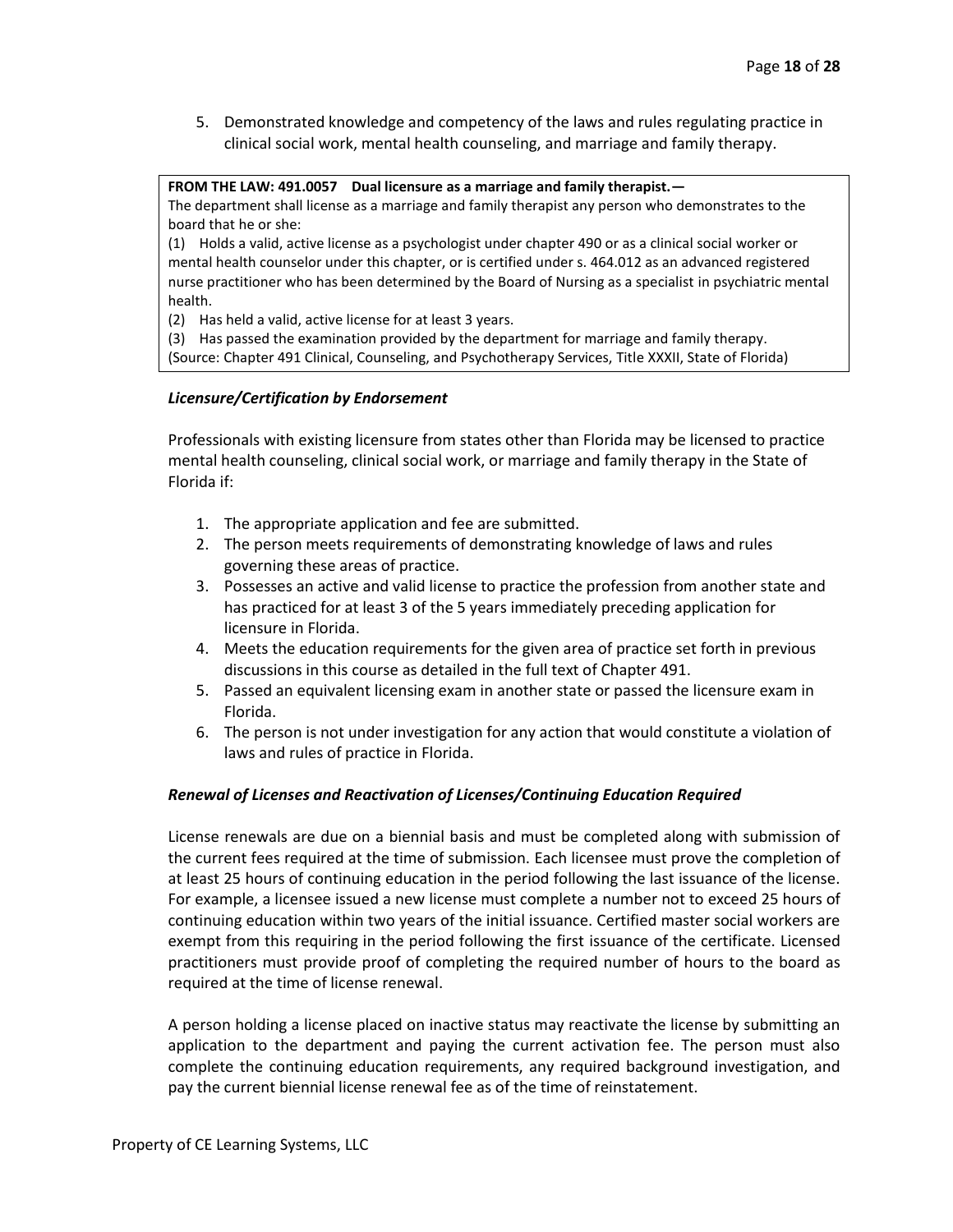5. Demonstrated knowledge and competency of the laws and rules regulating practice in clinical social work, mental health counseling, and marriage and family therapy.

**FROM THE LAW: 491.0057 Dual licensure as a marriage and family therapist.—** The department shall license as a marriage and family therapist any person who demonstrates to the board that he or she:

(1) Holds a valid, active license as a psychologist under chapter 490 or as a clinical social worker or mental health counselor under this chapter, or is certified under s. 464.012 as an advanced registered nurse practitioner who has been determined by the Board of Nursing as a specialist in psychiatric mental health.

(2) Has held a valid, active license for at least 3 years.

(3) Has passed the examination provided by the department for marriage and family therapy. (Source: Chapter 491 Clinical, Counseling, and Psychotherapy Services, Title XXXII, State of Florida)

## *Licensure/Certification by Endorsement*

Professionals with existing licensure from states other than Florida may be licensed to practice mental health counseling, clinical social work, or marriage and family therapy in the State of Florida if:

- 1. The appropriate application and fee are submitted.
- 2. The person meets requirements of demonstrating knowledge of laws and rules governing these areas of practice.
- 3. Possesses an active and valid license to practice the profession from another state and has practiced for at least 3 of the 5 years immediately preceding application for licensure in Florida.
- 4. Meets the education requirements for the given area of practice set forth in previous discussions in this course as detailed in the full text of Chapter 491.
- 5. Passed an equivalent licensing exam in another state or passed the licensure exam in Florida.
- 6. The person is not under investigation for any action that would constitute a violation of laws and rules of practice in Florida.

## *Renewal of Licenses and Reactivation of Licenses/Continuing Education Required*

License renewals are due on a biennial basis and must be completed along with submission of the current fees required at the time of submission. Each licensee must prove the completion of at least 25 hours of continuing education in the period following the last issuance of the license. For example, a licensee issued a new license must complete a number not to exceed 25 hours of continuing education within two years of the initial issuance. Certified master social workers are exempt from this requiring in the period following the first issuance of the certificate. Licensed practitioners must provide proof of completing the required number of hours to the board as required at the time of license renewal.

A person holding a license placed on inactive status may reactivate the license by submitting an application to the department and paying the current activation fee. The person must also complete the continuing education requirements, any required background investigation, and pay the current biennial license renewal fee as of the time of reinstatement.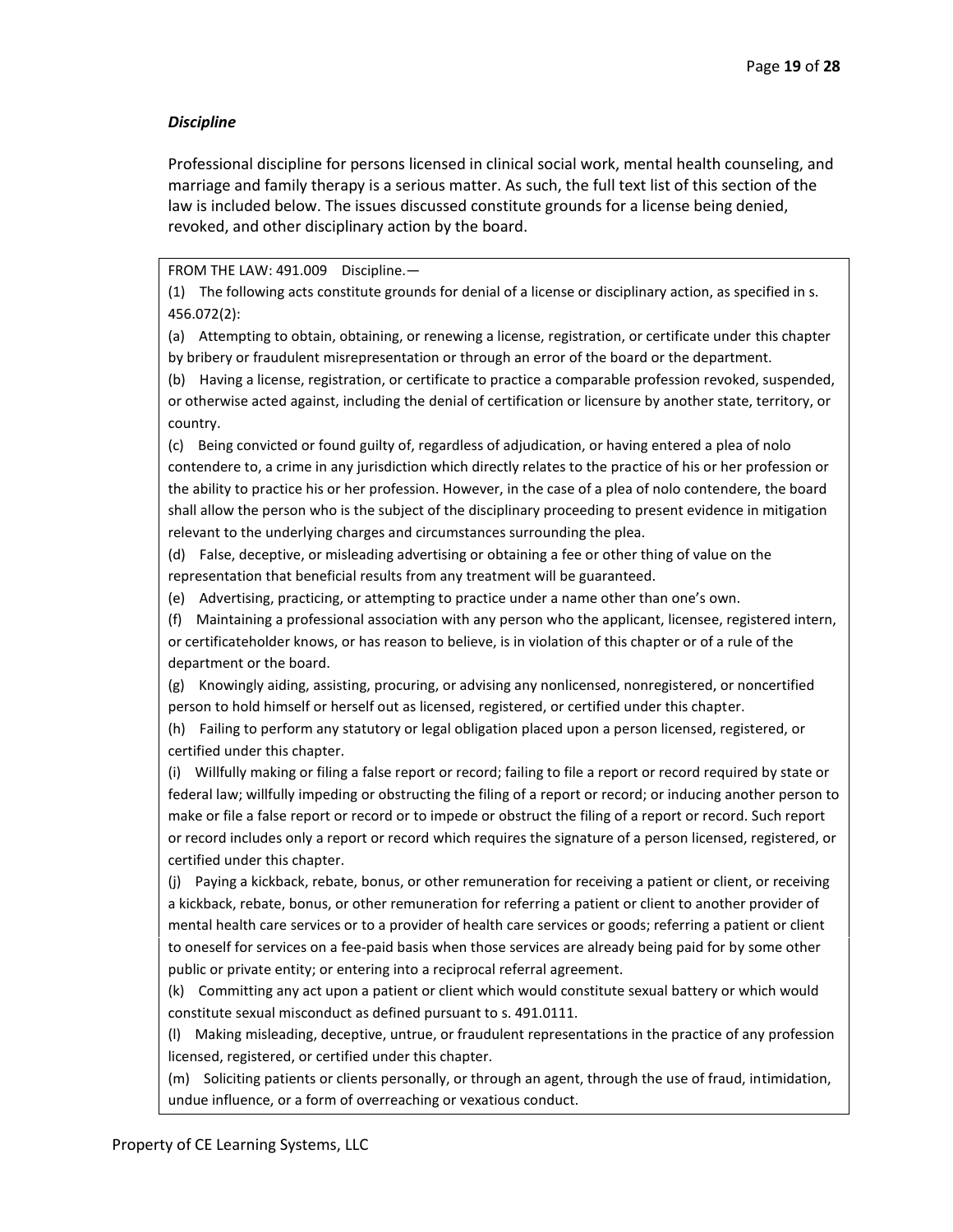### *Discipline*

Professional discipline for persons licensed in clinical social work, mental health counseling, and marriage and family therapy is a serious matter. As such, the full text list of this section of the law is included below. The issues discussed constitute grounds for a license being denied, revoked, and other disciplinary action by the board.

FROM THE LAW: 491.009 Discipline.—

(1) The following acts constitute grounds for denial of a license or disciplinary action, as specified in s. 456.072(2):

(a) Attempting to obtain, obtaining, or renewing a license, registration, or certificate under this chapter by bribery or fraudulent misrepresentation or through an error of the board or the department.

(b) Having a license, registration, or certificate to practice a comparable profession revoked, suspended, or otherwise acted against, including the denial of certification or licensure by another state, territory, or country.

(c) Being convicted or found guilty of, regardless of adjudication, or having entered a plea of nolo contendere to, a crime in any jurisdiction which directly relates to the practice of his or her profession or the ability to practice his or her profession. However, in the case of a plea of nolo contendere, the board shall allow the person who is the subject of the disciplinary proceeding to present evidence in mitigation relevant to the underlying charges and circumstances surrounding the plea.

(d) False, deceptive, or misleading advertising or obtaining a fee or other thing of value on the representation that beneficial results from any treatment will be guaranteed.

(e) Advertising, practicing, or attempting to practice under a name other than one's own.

(f) Maintaining a professional association with any person who the applicant, licensee, registered intern, or certificateholder knows, or has reason to believe, is in violation of this chapter or of a rule of the department or the board.

(g) Knowingly aiding, assisting, procuring, or advising any nonlicensed, nonregistered, or noncertified person to hold himself or herself out as licensed, registered, or certified under this chapter.

(h) Failing to perform any statutory or legal obligation placed upon a person licensed, registered, or certified under this chapter.

(i) Willfully making or filing a false report or record; failing to file a report or record required by state or federal law; willfully impeding or obstructing the filing of a report or record; or inducing another person to make or file a false report or record or to impede or obstruct the filing of a report or record. Such report or record includes only a report or record which requires the signature of a person licensed, registered, or certified under this chapter.

(j) Paying a kickback, rebate, bonus, or other remuneration for receiving a patient or client, or receiving a kickback, rebate, bonus, or other remuneration for referring a patient or client to another provider of mental health care services or to a provider of health care services or goods; referring a patient or client to oneself for services on a fee-paid basis when those services are already being paid for by some other public or private entity; or entering into a reciprocal referral agreement.

(k) Committing any act upon a patient or client which would constitute sexual battery or which would constitute sexual misconduct as defined pursuant to s. 491.0111.

(l) Making misleading, deceptive, untrue, or fraudulent representations in the practice of any profession licensed, registered, or certified under this chapter.

(m) Soliciting patients or clients personally, or through an agent, through the use of fraud, intimidation, undue influence, or a form of overreaching or vexatious conduct.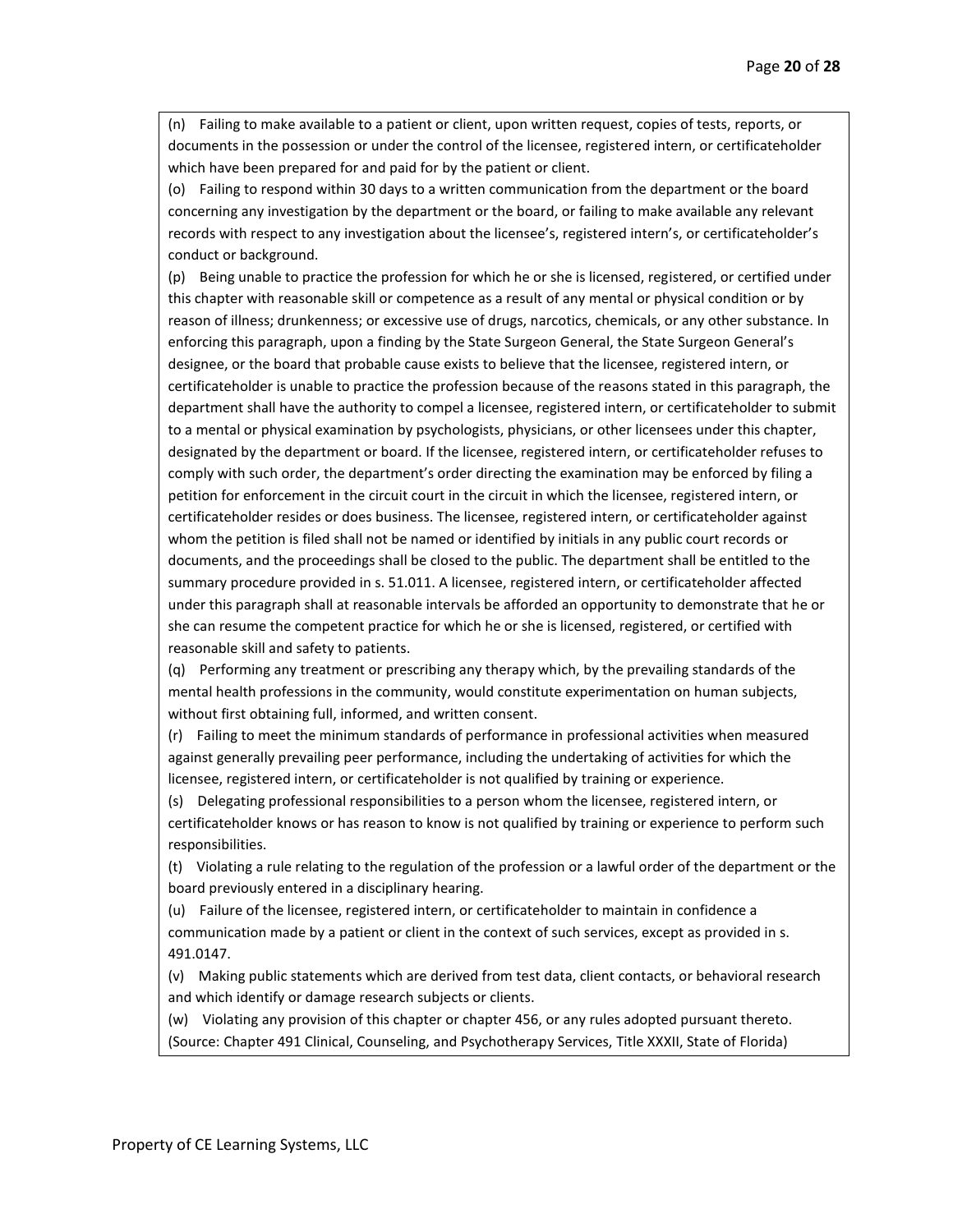(n) Failing to make available to a patient or client, upon written request, copies of tests, reports, or documents in the possession or under the control of the licensee, registered intern, or certificateholder which have been prepared for and paid for by the patient or client.

(o) Failing to respond within 30 days to a written communication from the department or the board concerning any investigation by the department or the board, or failing to make available any relevant records with respect to any investigation about the licensee's, registered intern's, or certificateholder's conduct or background.

(p) Being unable to practice the profession for which he or she is licensed, registered, or certified under this chapter with reasonable skill or competence as a result of any mental or physical condition or by reason of illness; drunkenness; or excessive use of drugs, narcotics, chemicals, or any other substance. In enforcing this paragraph, upon a finding by the State Surgeon General, the State Surgeon General's designee, or the board that probable cause exists to believe that the licensee, registered intern, or certificateholder is unable to practice the profession because of the reasons stated in this paragraph, the department shall have the authority to compel a licensee, registered intern, or certificateholder to submit to a mental or physical examination by psychologists, physicians, or other licensees under this chapter, designated by the department or board. If the licensee, registered intern, or certificateholder refuses to comply with such order, the department's order directing the examination may be enforced by filing a petition for enforcement in the circuit court in the circuit in which the licensee, registered intern, or certificateholder resides or does business. The licensee, registered intern, or certificateholder against whom the petition is filed shall not be named or identified by initials in any public court records or documents, and the proceedings shall be closed to the public. The department shall be entitled to the summary procedure provided in s. 51.011. A licensee, registered intern, or certificateholder affected under this paragraph shall at reasonable intervals be afforded an opportunity to demonstrate that he or she can resume the competent practice for which he or she is licensed, registered, or certified with reasonable skill and safety to patients.

(q) Performing any treatment or prescribing any therapy which, by the prevailing standards of the mental health professions in the community, would constitute experimentation on human subjects, without first obtaining full, informed, and written consent.

(r) Failing to meet the minimum standards of performance in professional activities when measured against generally prevailing peer performance, including the undertaking of activities for which the licensee, registered intern, or certificateholder is not qualified by training or experience.

(s) Delegating professional responsibilities to a person whom the licensee, registered intern, or certificateholder knows or has reason to know is not qualified by training or experience to perform such responsibilities.

(t) Violating a rule relating to the regulation of the profession or a lawful order of the department or the board previously entered in a disciplinary hearing.

(u) Failure of the licensee, registered intern, or certificateholder to maintain in confidence a communication made by a patient or client in the context of such services, except as provided in s. 491.0147.

(v) Making public statements which are derived from test data, client contacts, or behavioral research and which identify or damage research subjects or clients.

(w) Violating any provision of this chapter or chapter 456, or any rules adopted pursuant thereto. (Source: Chapter 491 Clinical, Counseling, and Psychotherapy Services, Title XXXII, State of Florida)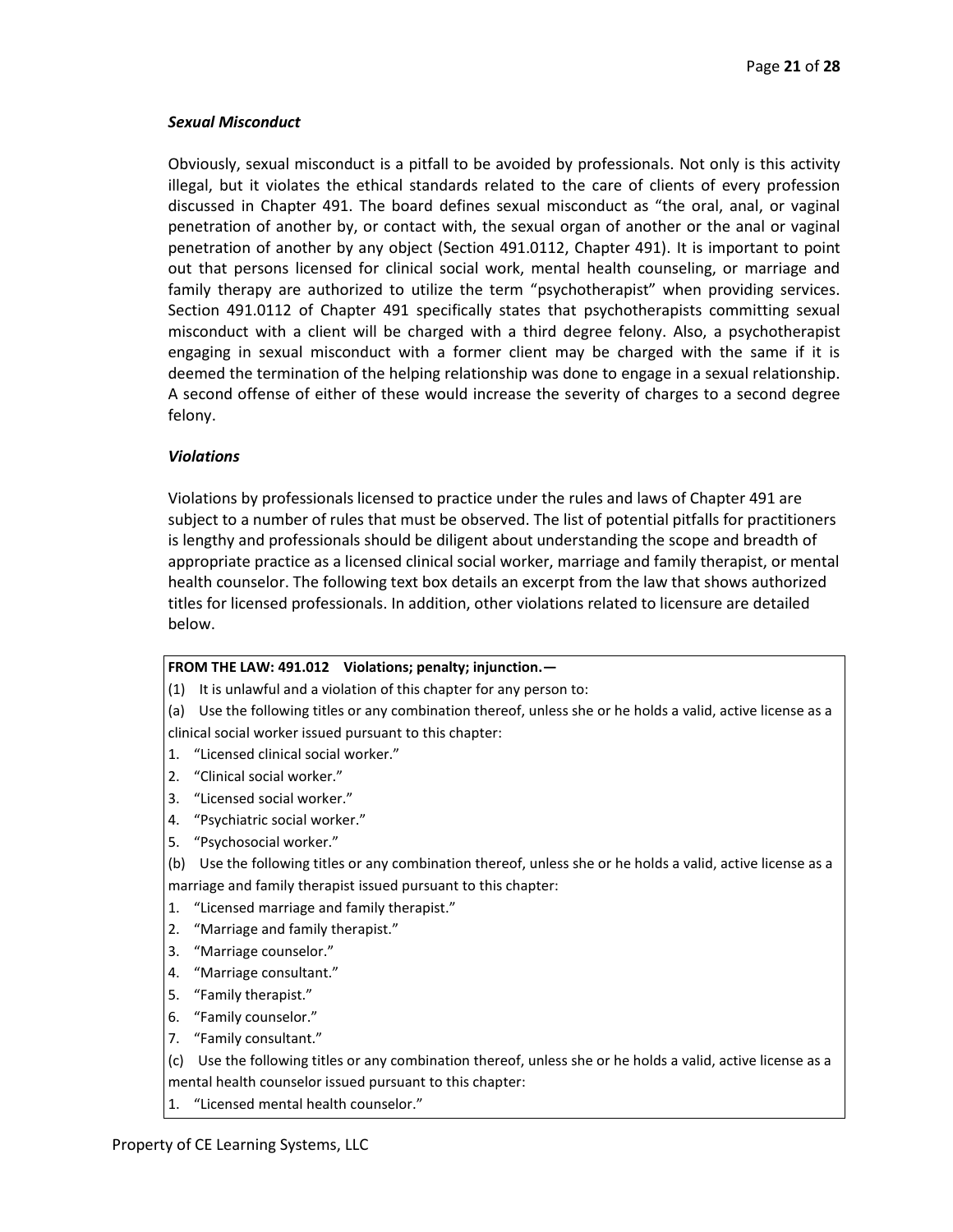## *Sexual Misconduct*

Obviously, sexual misconduct is a pitfall to be avoided by professionals. Not only is this activity illegal, but it violates the ethical standards related to the care of clients of every profession discussed in Chapter 491. The board defines sexual misconduct as "the oral, anal, or vaginal penetration of another by, or contact with, the sexual organ of another or the anal or vaginal penetration of another by any object (Section 491.0112, Chapter 491). It is important to point out that persons licensed for clinical social work, mental health counseling, or marriage and family therapy are authorized to utilize the term "psychotherapist" when providing services. Section 491.0112 of Chapter 491 specifically states that psychotherapists committing sexual misconduct with a client will be charged with a third degree felony. Also, a psychotherapist engaging in sexual misconduct with a former client may be charged with the same if it is deemed the termination of the helping relationship was done to engage in a sexual relationship. A second offense of either of these would increase the severity of charges to a second degree felony.

## *Violations*

Violations by professionals licensed to practice under the rules and laws of Chapter 491 are subject to a number of rules that must be observed. The list of potential pitfalls for practitioners is lengthy and professionals should be diligent about understanding the scope and breadth of appropriate practice as a licensed clinical social worker, marriage and family therapist, or mental health counselor. The following text box details an excerpt from the law that shows authorized titles for licensed professionals. In addition, other violations related to licensure are detailed below.

## **FROM THE LAW: 491.012 Violations; penalty; injunction.—**

- (1) It is unlawful and a violation of this chapter for any person to:
- (a) Use the following titles or any combination thereof, unless she or he holds a valid, active license as a clinical social worker issued pursuant to this chapter:
- 1. "Licensed clinical social worker."
- 2. "Clinical social worker."
- 3. "Licensed social worker."
- 4. "Psychiatric social worker."
- 5. "Psychosocial worker."
- (b) Use the following titles or any combination thereof, unless she or he holds a valid, active license as a marriage and family therapist issued pursuant to this chapter:
- 1. "Licensed marriage and family therapist."
- 2. "Marriage and family therapist."
- 3. "Marriage counselor."
- 4. "Marriage consultant."
- 5. "Family therapist."
- 6. "Family counselor."
- 7. "Family consultant."
- (c) Use the following titles or any combination thereof, unless she or he holds a valid, active license as a mental health counselor issued pursuant to this chapter:
- 1. "Licensed mental health counselor."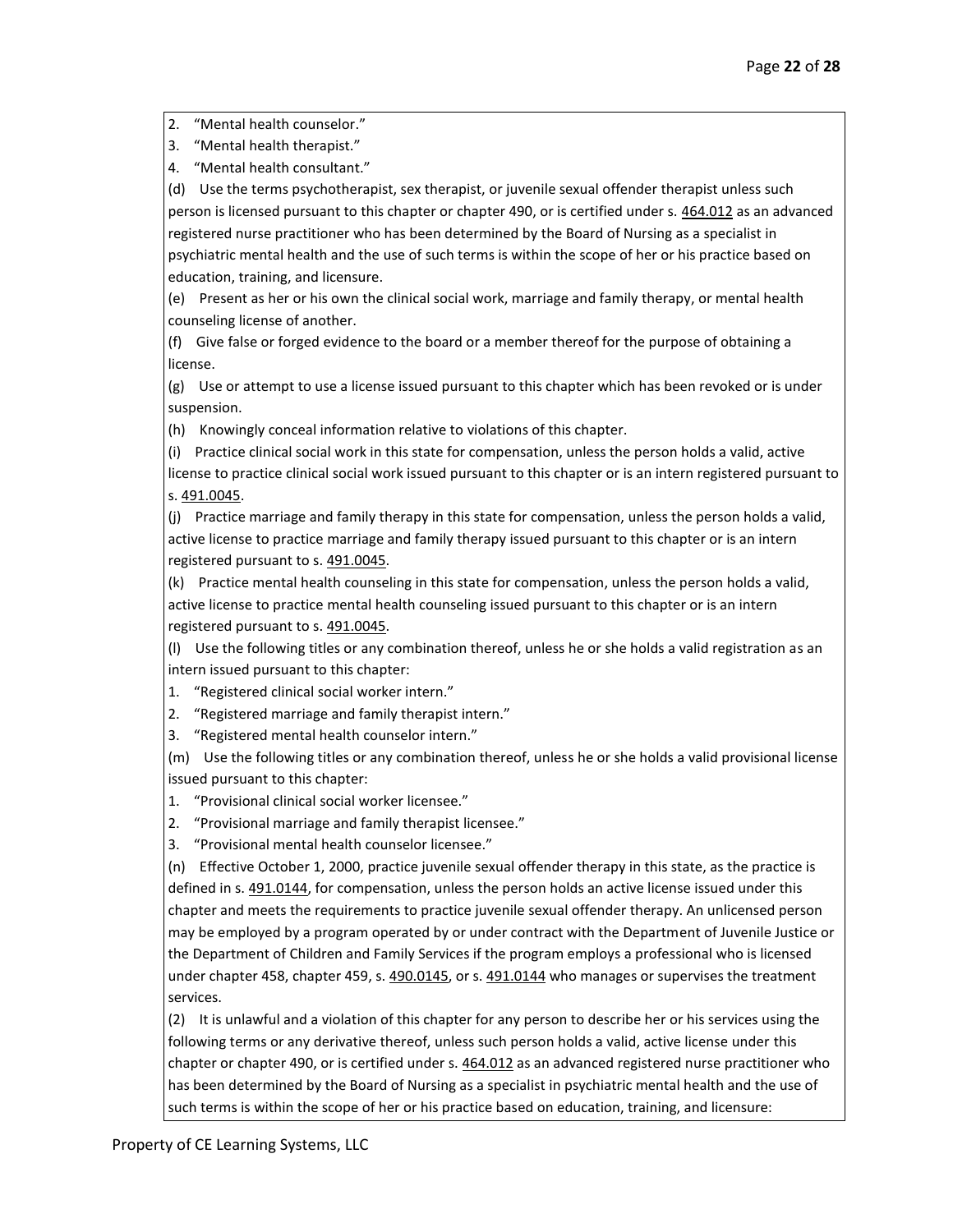2. "Mental health counselor."

3. "Mental health therapist."

4. "Mental health consultant."

(d) Use the terms psychotherapist, sex therapist, or juvenile sexual offender therapist unless such person is licensed pursuant to this chapter or chapter 490, or is certified under s. [464.012](http://www.leg.state.fl.us/Statutes/index.cfm?App_mode=Display_Statute&Search_String=&URL=0400-0499/0464/Sections/0464.012.html) as an advanced registered nurse practitioner who has been determined by the Board of Nursing as a specialist in psychiatric mental health and the use of such terms is within the scope of her or his practice based on education, training, and licensure.

(e) Present as her or his own the clinical social work, marriage and family therapy, or mental health counseling license of another.

(f) Give false or forged evidence to the board or a member thereof for the purpose of obtaining a license.

(g) Use or attempt to use a license issued pursuant to this chapter which has been revoked or is under suspension.

(h) Knowingly conceal information relative to violations of this chapter.

(i) Practice clinical social work in this state for compensation, unless the person holds a valid, active license to practice clinical social work issued pursuant to this chapter or is an intern registered pursuant to s[. 491.0045.](http://www.leg.state.fl.us/Statutes/index.cfm?App_mode=Display_Statute&Search_String=&URL=0400-0499/0491/Sections/0491.0045.html)

(j) Practice marriage and family therapy in this state for compensation, unless the person holds a valid, active license to practice marriage and family therapy issued pursuant to this chapter or is an intern registered pursuant to s. [491.0045.](http://www.leg.state.fl.us/Statutes/index.cfm?App_mode=Display_Statute&Search_String=&URL=0400-0499/0491/Sections/0491.0045.html)

(k) Practice mental health counseling in this state for compensation, unless the person holds a valid, active license to practice mental health counseling issued pursuant to this chapter or is an intern registered pursuant to s. [491.0045.](http://www.leg.state.fl.us/Statutes/index.cfm?App_mode=Display_Statute&Search_String=&URL=0400-0499/0491/Sections/0491.0045.html)

(l) Use the following titles or any combination thereof, unless he or she holds a valid registration as an intern issued pursuant to this chapter:

1. "Registered clinical social worker intern."

2. "Registered marriage and family therapist intern."

3. "Registered mental health counselor intern."

(m) Use the following titles or any combination thereof, unless he or she holds a valid provisional license issued pursuant to this chapter:

1. "Provisional clinical social worker licensee."

2. "Provisional marriage and family therapist licensee."

3. "Provisional mental health counselor licensee."

(n) Effective October 1, 2000, practice juvenile sexual offender therapy in this state, as the practice is defined in s. [491.0144,](http://www.leg.state.fl.us/Statutes/index.cfm?App_mode=Display_Statute&Search_String=&URL=0400-0499/0491/Sections/0491.0144.html) for compensation, unless the person holds an active license issued under this chapter and meets the requirements to practice juvenile sexual offender therapy. An unlicensed person may be employed by a program operated by or under contract with the Department of Juvenile Justice or the Department of Children and Family Services if the program employs a professional who is licensed under chapter 458, chapter 459, s. [490.0145,](http://www.leg.state.fl.us/Statutes/index.cfm?App_mode=Display_Statute&Search_String=&URL=0400-0499/0490/Sections/0490.0145.html) or s. [491.0144](http://www.leg.state.fl.us/Statutes/index.cfm?App_mode=Display_Statute&Search_String=&URL=0400-0499/0491/Sections/0491.0144.html) who manages or supervises the treatment services.

(2) It is unlawful and a violation of this chapter for any person to describe her or his services using the following terms or any derivative thereof, unless such person holds a valid, active license under this chapter or chapter 490, or is certified under s. [464.012](http://www.leg.state.fl.us/Statutes/index.cfm?App_mode=Display_Statute&Search_String=&URL=0400-0499/0464/Sections/0464.012.html) as an advanced registered nurse practitioner who has been determined by the Board of Nursing as a specialist in psychiatric mental health and the use of such terms is within the scope of her or his practice based on education, training, and licensure: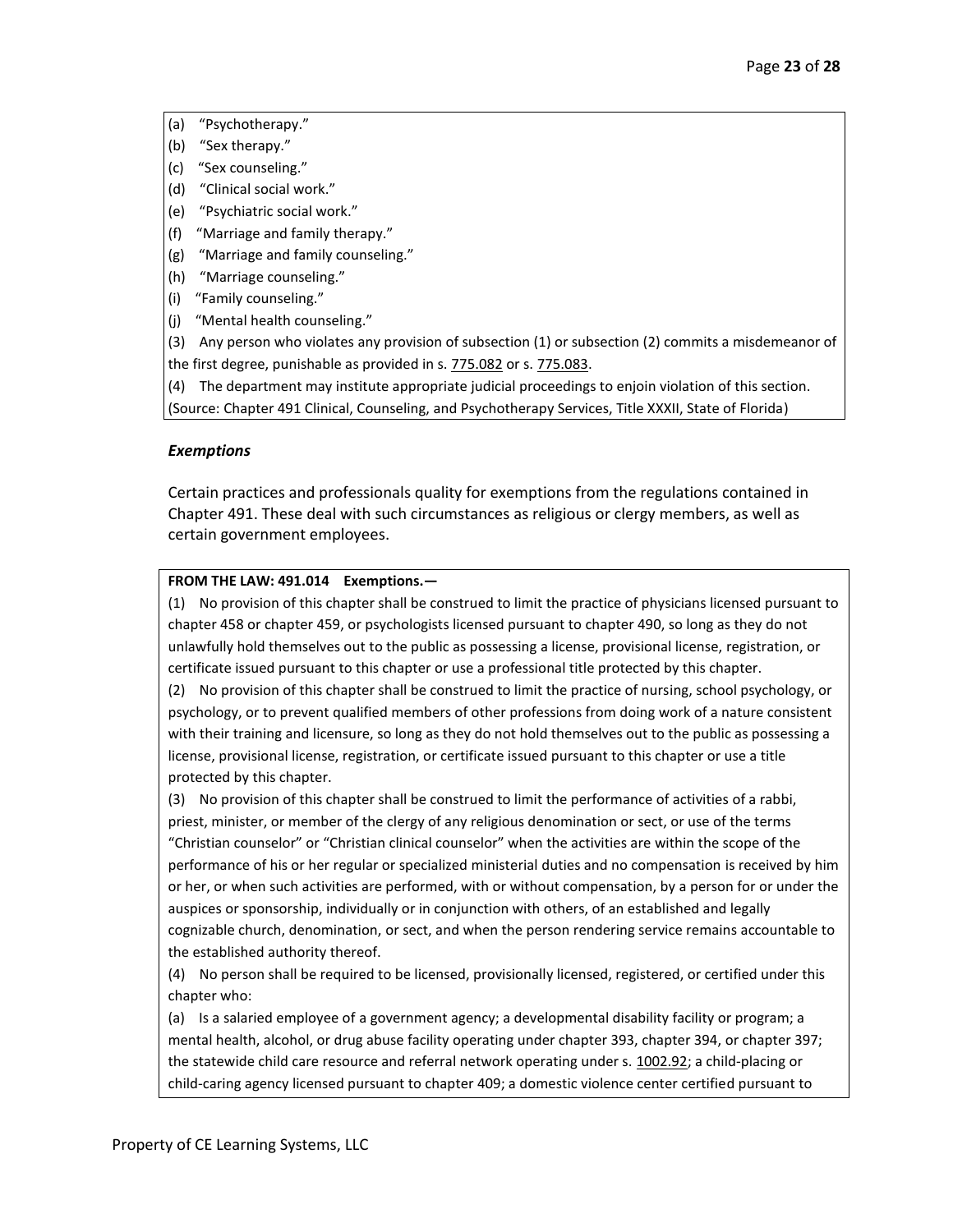- (a) "Psychotherapy."
- (b) "Sex therapy."
- (c) "Sex counseling."
- (d) "Clinical social work."
- (e) "Psychiatric social work."
- (f) "Marriage and family therapy."
- (g) "Marriage and family counseling."
- (h) "Marriage counseling."
- (i) "Family counseling."
- (j) "Mental health counseling."
- (3) Any person who violates any provision of subsection (1) or subsection (2) commits a misdemeanor of the first degree, punishable as provided in s. [775.082](http://www.leg.state.fl.us/Statutes/index.cfm?App_mode=Display_Statute&Search_String=&URL=0700-0799/0775/Sections/0775.082.html) or s. [775.083.](http://www.leg.state.fl.us/Statutes/index.cfm?App_mode=Display_Statute&Search_String=&URL=0700-0799/0775/Sections/0775.083.html)
- (4) The department may institute appropriate judicial proceedings to enjoin violation of this section.

(Source: Chapter 491 Clinical, Counseling, and Psychotherapy Services, Title XXXII, State of Florida)

## *Exemptions*

Certain practices and professionals quality for exemptions from the regulations contained in Chapter 491. These deal with such circumstances as religious or clergy members, as well as certain government employees.

## **FROM THE LAW: 491.014 Exemptions.—**

(1) No provision of this chapter shall be construed to limit the practice of physicians licensed pursuant to chapter 458 or chapter 459, or psychologists licensed pursuant to chapter 490, so long as they do not unlawfully hold themselves out to the public as possessing a license, provisional license, registration, or certificate issued pursuant to this chapter or use a professional title protected by this chapter.

(2) No provision of this chapter shall be construed to limit the practice of nursing, school psychology, or psychology, or to prevent qualified members of other professions from doing work of a nature consistent with their training and licensure, so long as they do not hold themselves out to the public as possessing a license, provisional license, registration, or certificate issued pursuant to this chapter or use a title protected by this chapter.

(3) No provision of this chapter shall be construed to limit the performance of activities of a rabbi, priest, minister, or member of the clergy of any religious denomination or sect, or use of the terms "Christian counselor" or "Christian clinical counselor" when the activities are within the scope of the performance of his or her regular or specialized ministerial duties and no compensation is received by him or her, or when such activities are performed, with or without compensation, by a person for or under the auspices or sponsorship, individually or in conjunction with others, of an established and legally cognizable church, denomination, or sect, and when the person rendering service remains accountable to the established authority thereof.

(4) No person shall be required to be licensed, provisionally licensed, registered, or certified under this chapter who:

(a) Is a salaried employee of a government agency; a developmental disability facility or program; a mental health, alcohol, or drug abuse facility operating under chapter 393, chapter 394, or chapter 397; the statewide child care resource and referral network operating under s. [1002.92;](http://www.leg.state.fl.us/Statutes/index.cfm?App_mode=Display_Statute&Search_String=&URL=1000-1099/1002/Sections/1002.92.html) a child-placing or child-caring agency licensed pursuant to chapter 409; a domestic violence center certified pursuant to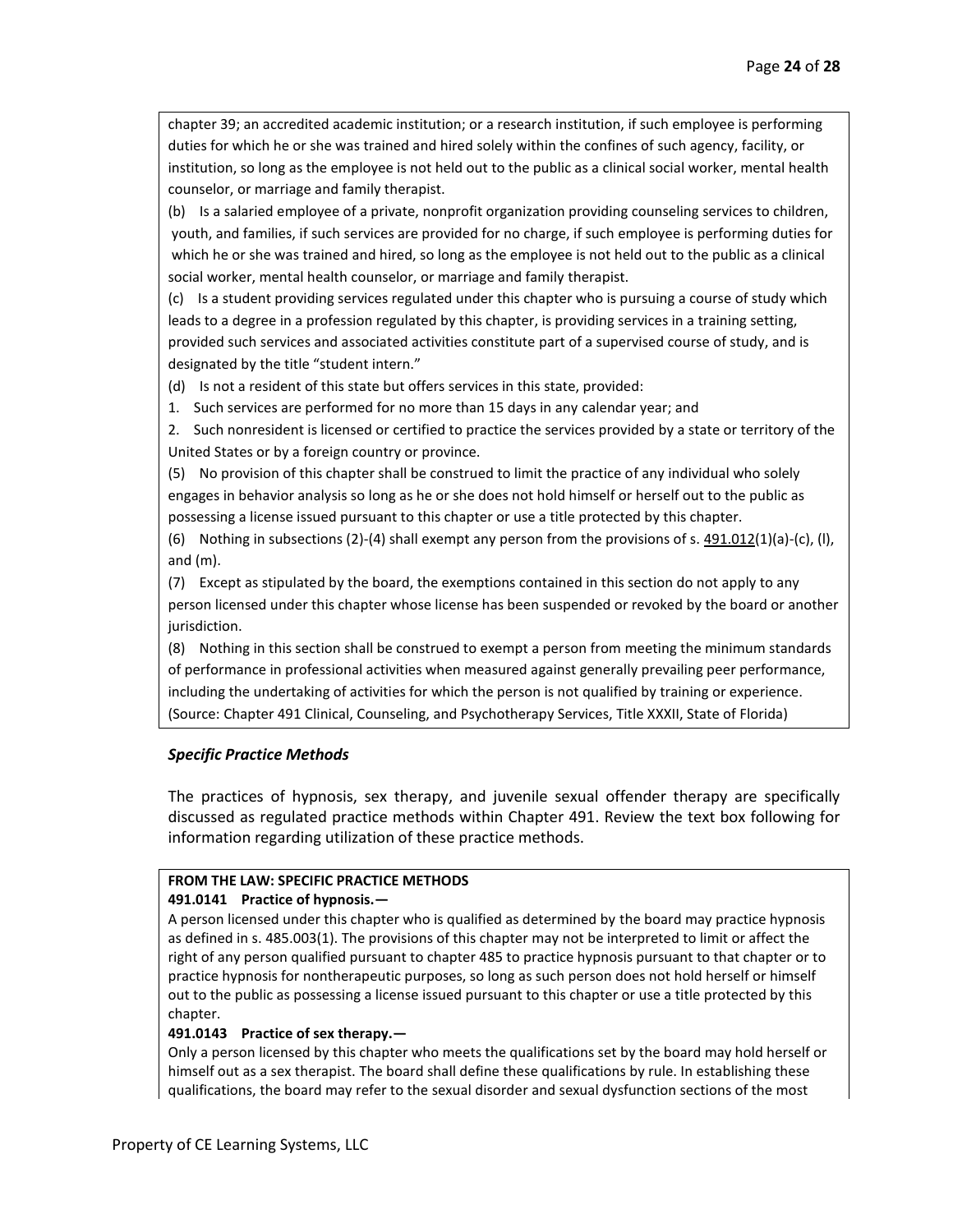chapter 39; an accredited academic institution; or a research institution, if such employee is performing duties for which he or she was trained and hired solely within the confines of such agency, facility, or institution, so long as the employee is not held out to the public as a clinical social worker, mental health counselor, or marriage and family therapist.

(b) Is a salaried employee of a private, nonprofit organization providing counseling services to children, youth, and families, if such services are provided for no charge, if such employee is performing duties for which he or she was trained and hired, so long as the employee is not held out to the public as a clinical social worker, mental health counselor, or marriage and family therapist.

(c) Is a student providing services regulated under this chapter who is pursuing a course of study which leads to a degree in a profession regulated by this chapter, is providing services in a training setting, provided such services and associated activities constitute part of a supervised course of study, and is designated by the title "student intern."

(d) Is not a resident of this state but offers services in this state, provided:

1. Such services are performed for no more than 15 days in any calendar year; and

2. Such nonresident is licensed or certified to practice the services provided by a state or territory of the United States or by a foreign country or province.

(5) No provision of this chapter shall be construed to limit the practice of any individual who solely engages in behavior analysis so long as he or she does not hold himself or herself out to the public as possessing a license issued pursuant to this chapter or use a title protected by this chapter.

(6) Nothing in subsections (2)-(4) shall exempt any person from the provisions of s.  $491.012(1)(a)-(c)$ , (I), and (m).

(7) Except as stipulated by the board, the exemptions contained in this section do not apply to any person licensed under this chapter whose license has been suspended or revoked by the board or another jurisdiction.

(8) Nothing in this section shall be construed to exempt a person from meeting the minimum standards of performance in professional activities when measured against generally prevailing peer performance, including the undertaking of activities for which the person is not qualified by training or experience. (Source: Chapter 491 Clinical, Counseling, and Psychotherapy Services, Title XXXII, State of Florida)

## *Specific Practice Methods*

The practices of hypnosis, sex therapy, and juvenile sexual offender therapy are specifically discussed as regulated practice methods within Chapter 491. Review the text box following for information regarding utilization of these practice methods.

### **FROM THE LAW: SPECIFIC PRACTICE METHODS**

#### **491.0141 Practice of hypnosis.—**

A person licensed under this chapter who is qualified as determined by the board may practice hypnosis as defined in s. 485.003(1). The provisions of this chapter may not be interpreted to limit or affect the right of any person qualified pursuant to chapter 485 to practice hypnosis pursuant to that chapter or to practice hypnosis for nontherapeutic purposes, so long as such person does not hold herself or himself out to the public as possessing a license issued pursuant to this chapter or use a title protected by this chapter.

## **491.0143 Practice of sex therapy.—**

Only a person licensed by this chapter who meets the qualifications set by the board may hold herself or himself out as a sex therapist. The board shall define these qualifications by rule. In establishing these qualifications, the board may refer to the sexual disorder and sexual dysfunction sections of the most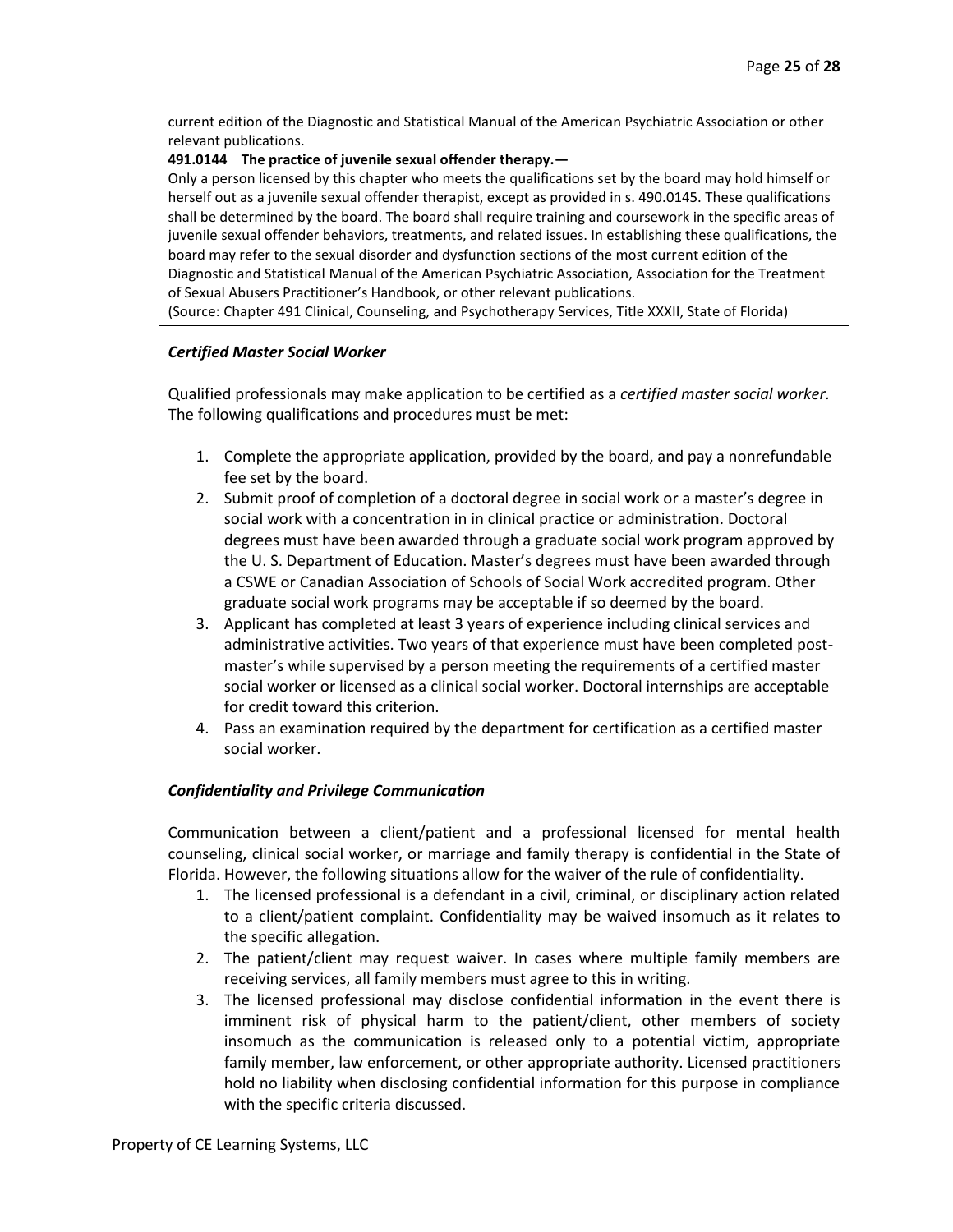current edition of the Diagnostic and Statistical Manual of the American Psychiatric Association or other relevant publications.

## **491.0144 The practice of juvenile sexual offender therapy.—**

Only a person licensed by this chapter who meets the qualifications set by the board may hold himself or herself out as a juvenile sexual offender therapist, except as provided in s. 490.0145. These qualifications shall be determined by the board. The board shall require training and coursework in the specific areas of juvenile sexual offender behaviors, treatments, and related issues. In establishing these qualifications, the board may refer to the sexual disorder and dysfunction sections of the most current edition of the Diagnostic and Statistical Manual of the American Psychiatric Association, Association for the Treatment of Sexual Abusers Practitioner's Handbook, or other relevant publications.

(Source: Chapter 491 Clinical, Counseling, and Psychotherapy Services, Title XXXII, State of Florida)

# *Certified Master Social Worker*

Qualified professionals may make application to be certified as a *certified master social worker.*  The following qualifications and procedures must be met:

- 1. Complete the appropriate application, provided by the board, and pay a nonrefundable fee set by the board.
- 2. Submit proof of completion of a doctoral degree in social work or a master's degree in social work with a concentration in in clinical practice or administration. Doctoral degrees must have been awarded through a graduate social work program approved by the U. S. Department of Education. Master's degrees must have been awarded through a CSWE or Canadian Association of Schools of Social Work accredited program. Other graduate social work programs may be acceptable if so deemed by the board.
- 3. Applicant has completed at least 3 years of experience including clinical services and administrative activities. Two years of that experience must have been completed postmaster's while supervised by a person meeting the requirements of a certified master social worker or licensed as a clinical social worker. Doctoral internships are acceptable for credit toward this criterion.
- 4. Pass an examination required by the department for certification as a certified master social worker.

# *Confidentiality and Privilege Communication*

Communication between a client/patient and a professional licensed for mental health counseling, clinical social worker, or marriage and family therapy is confidential in the State of Florida. However, the following situations allow for the waiver of the rule of confidentiality.

- 1. The licensed professional is a defendant in a civil, criminal, or disciplinary action related to a client/patient complaint. Confidentiality may be waived insomuch as it relates to the specific allegation.
- 2. The patient/client may request waiver. In cases where multiple family members are receiving services, all family members must agree to this in writing.
- 3. The licensed professional may disclose confidential information in the event there is imminent risk of physical harm to the patient/client, other members of society insomuch as the communication is released only to a potential victim, appropriate family member, law enforcement, or other appropriate authority. Licensed practitioners hold no liability when disclosing confidential information for this purpose in compliance with the specific criteria discussed.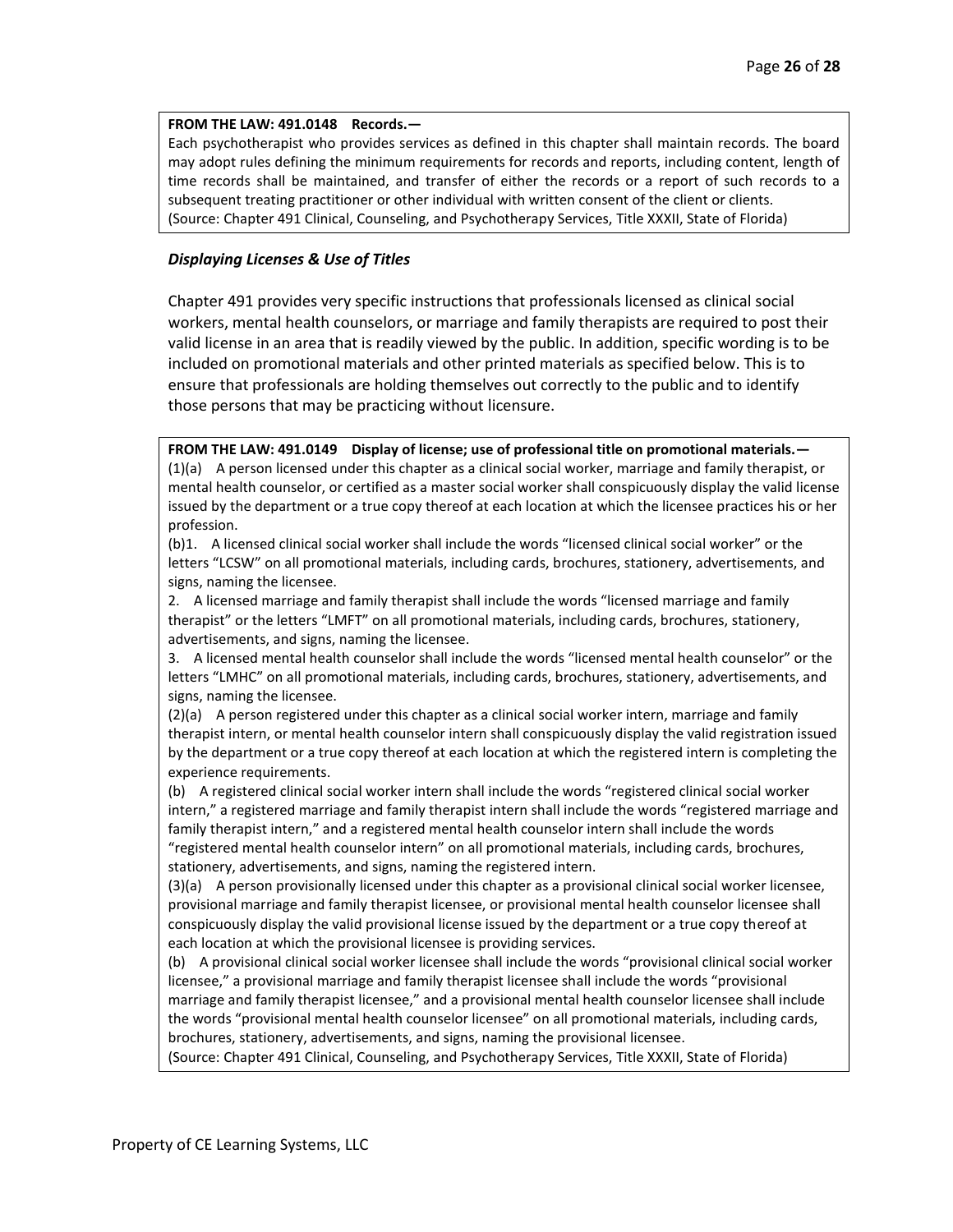#### **FROM THE LAW: 491.0148 Records.—**

Each psychotherapist who provides services as defined in this chapter shall maintain records. The board may adopt rules defining the minimum requirements for records and reports, including content, length of time records shall be maintained, and transfer of either the records or a report of such records to a subsequent treating practitioner or other individual with written consent of the client or clients. (Source: Chapter 491 Clinical, Counseling, and Psychotherapy Services, Title XXXII, State of Florida)

## *Displaying Licenses & Use of Titles*

Chapter 491 provides very specific instructions that professionals licensed as clinical social workers, mental health counselors, or marriage and family therapists are required to post their valid license in an area that is readily viewed by the public. In addition, specific wording is to be included on promotional materials and other printed materials as specified below. This is to ensure that professionals are holding themselves out correctly to the public and to identify those persons that may be practicing without licensure.

**FROM THE LAW: 491.0149 Display of license; use of professional title on promotional materials.—** (1)(a) A person licensed under this chapter as a clinical social worker, marriage and family therapist, or mental health counselor, or certified as a master social worker shall conspicuously display the valid license issued by the department or a true copy thereof at each location at which the licensee practices his or her profession.

(b)1. A licensed clinical social worker shall include the words "licensed clinical social worker" or the letters "LCSW" on all promotional materials, including cards, brochures, stationery, advertisements, and signs, naming the licensee.

2. A licensed marriage and family therapist shall include the words "licensed marriage and family therapist" or the letters "LMFT" on all promotional materials, including cards, brochures, stationery, advertisements, and signs, naming the licensee.

3. A licensed mental health counselor shall include the words "licensed mental health counselor" or the letters "LMHC" on all promotional materials, including cards, brochures, stationery, advertisements, and signs, naming the licensee.

(2)(a) A person registered under this chapter as a clinical social worker intern, marriage and family therapist intern, or mental health counselor intern shall conspicuously display the valid registration issued by the department or a true copy thereof at each location at which the registered intern is completing the experience requirements.

(b) A registered clinical social worker intern shall include the words "registered clinical social worker intern," a registered marriage and family therapist intern shall include the words "registered marriage and family therapist intern," and a registered mental health counselor intern shall include the words "registered mental health counselor intern" on all promotional materials, including cards, brochures, stationery, advertisements, and signs, naming the registered intern.

(3)(a) A person provisionally licensed under this chapter as a provisional clinical social worker licensee, provisional marriage and family therapist licensee, or provisional mental health counselor licensee shall conspicuously display the valid provisional license issued by the department or a true copy thereof at each location at which the provisional licensee is providing services.

(b) A provisional clinical social worker licensee shall include the words "provisional clinical social worker licensee," a provisional marriage and family therapist licensee shall include the words "provisional marriage and family therapist licensee," and a provisional mental health counselor licensee shall include the words "provisional mental health counselor licensee" on all promotional materials, including cards, brochures, stationery, advertisements, and signs, naming the provisional licensee.

(Source: Chapter 491 Clinical, Counseling, and Psychotherapy Services, Title XXXII, State of Florida)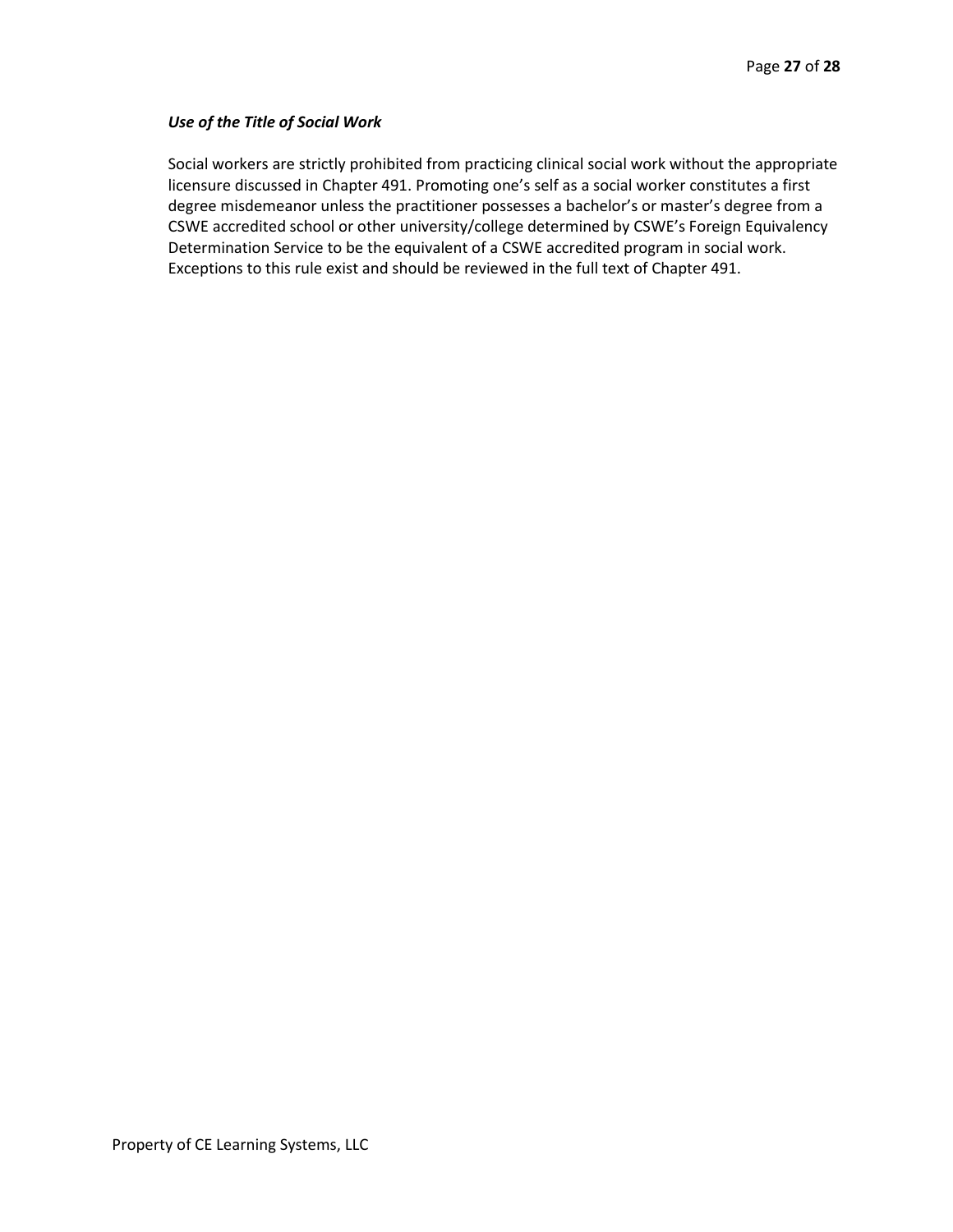## *Use of the Title of Social Work*

Social workers are strictly prohibited from practicing clinical social work without the appropriate licensure discussed in Chapter 491. Promoting one's self as a social worker constitutes a first degree misdemeanor unless the practitioner possesses a bachelor's or master's degree from a CSWE accredited school or other university/college determined by CSWE's Foreign Equivalency Determination Service to be the equivalent of a CSWE accredited program in social work. Exceptions to this rule exist and should be reviewed in the full text of Chapter 491.